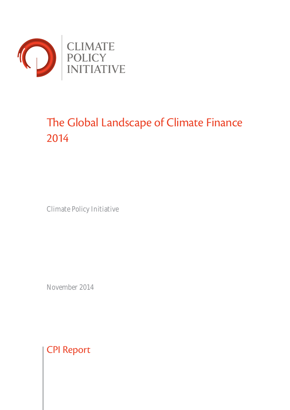

# The Global Landscape of Climate Finance 2014

Climate Policy Initiative

November 2014

CPI Report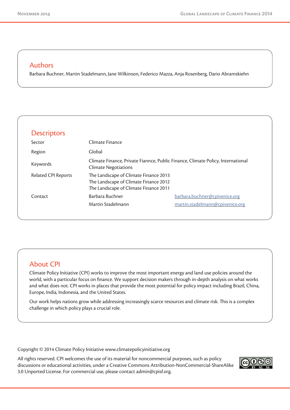#### Authors

Barbara Buchner, Martin Stadelmann, Jane Wilkinson, Federico Mazza, Anja Rosenberg, Dario Abramskiehn

| <b>Descriptors</b>         |                                                                                                                         |                                 |
|----------------------------|-------------------------------------------------------------------------------------------------------------------------|---------------------------------|
| Sector                     | Climate Finance                                                                                                         |                                 |
| Region                     | Global                                                                                                                  |                                 |
| Keywords                   | Climate Finance, Private Fiannce, Public Finance, Climate Policy, International<br><b>Climate Negotiations</b>          |                                 |
| <b>Related CPI Reports</b> | The Landscape of Climate Finance 2013<br>The Landscape of Climate Finance 2012<br>The Landscape of Climate Finance 2011 |                                 |
| Contact                    | Barbara Buchner                                                                                                         | barbara.buchner@cpivenice.org   |
|                            | Martin Stadelmann                                                                                                       | martin.stadelmann@cpivenice.org |

# About CPI

Climate Policy Initiative (CPI) works to improve the most important energy and land use policies around the world, with a particular focus on finance. We support decision makers through in-depth analysis on what works and what does not. CPI works in places that provide the most potential for policy impact including Brazil, China, Europe, India, Indonesia, and the United States.

Our work helps nations grow while addressing increasingly scarce resources and climate risk. This is a complex challenge in which policy plays a crucial role.

Copyright © 2014 Climate Policy Initiative www.climatepolicyinitiative.org

All rights reserved. CPI welcomes the use of its material for noncommercial purposes, such as policy discussions or educational activities, under a Creative Commons Attribution-NonCommercial-ShareAlike 3.0 Unported License. For commercial use, please contact admin@cpisf.org.

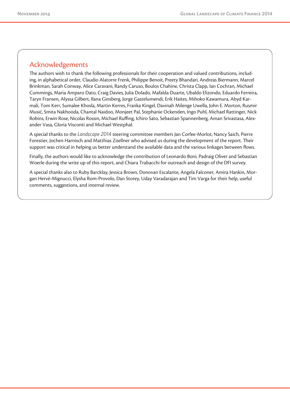# Acknowledgements

The authors wish to thank the following professionals for their cooperation and valued contributions, including, in alphabetical order, Claudio Alatorre Frenk, Philippe Benoit, Preety Bhandari, Andreas Biermann, Marcel Brinkman, Sarah Conway, Alice Caravani, Randy Caruso, Boulos Chahine, Christa Clapp, Ian Cochran, Michael Cummings, Maria Amparo Dato, Craig Davies, Julia Dolado, Mafalda Duarte, Ubaldo Elizondo, Eduardo Ferreira, Taryn Fransen, Alyssa Gilbert, Ilana Ginsberg, Jorge Gastelumendi, Erik Haites, Mihoko Kawamura, Abyd Karmali, Tom Kerr, Sumalee Khosla, Martin Kerres, Franka Kingel, Davinah Milenge Uwella, John E. Morton, Rusmir Musić, Smita Nakhooda, Chantal Naidoo, Monjeet Pal, Stephanie Ockenden, Ingo Puhl, Michael Rattinger, Nick Robins, Erwin Rose, Nicolas Rossin, Michael Ruffing, Ichiro Sato, Sebastian Spannenberg, Aman Srivastasa, Alexander Vasa, Gloria Visconti and Michael Westphal.

A special thanks to the *Landscape 2014* steering committee members Jan Corfee-Morlot, Nancy Saich, Pierre Forestier, Jochen Harnisch and Matthias Zoellner who advised us during the development of the report. Their support was critical in helping us better understand the available data and the various linkages between flows.

Finally, the authors would like to acknowledge the contribution of Leonardo Boni, Padraig Oliver and Sebastian Woerle during the write up of this report, and Chiara Trabacchi for outreach and design of the DFI survey.

A special thanks also to Ruby Barcklay, Jessica Brown, Donovan Escalante, Angela Falconer, Amira Hankin, Morgan Hervé-Mignucci, Elysha Rom-Provolo, Dan Storey, Uday Varadarajan and Tim Varga for their help, useful comments, suggestions, and internal review.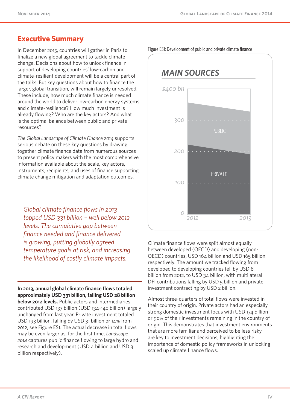# **Executive Summary**

In December 2015, countries will gather in Paris to finalize a new global agreement to tackle climate change. Decisions about how to unlock finance in support of developing countries' low-carbon and climate-resilient development will be a central part of the talks. But key questions about how to finance the larger, global transition, will remain largely unresolved. These include, how much climate finance is needed around the world to deliver low-carbon energy systems and climate-resilience? How much investment is already flowing? Who are the key actors? And what is the optimal balance between public and private resources?

*The Global Landscape of Climate Finance 2014* supports serious debate on these key questions by drawing together climate finance data from numerous sources to present policy makers with the most comprehensive information available about the scale, key actors, instruments, recipients, and uses of finance supporting climate change mitigation and adaptation outcomes.

*Global climate finance flows in 2013 topped USD 331 billion – well below 2012 levels. The cumulative gap between finance needed and finance delivered is growing, putting globally agreed temperature goals at risk, and increasing the likelihood of costly climate impacts.*

**In 2013, annual global climate finance flows totaled approximately USD 331 billion, falling USD 28 billion below 2012 levels.** Public actors and intermediaries contributed USD 137 billion (USD 134-140 billion) largely unchanged from last year. Private investment totaled USD 193 billion, falling by USD 31 billion or 14% from 2012, see Figure ES1. The actual decrease in total flows may be even larger as, for the first time, *Landscape 2014* captures public finance flowing to large hydro and research and development (USD 4 billion and USD 3 billion respectively).

*2012 2013 0 100 200 300 \$400 bn* PUBLIC PRIVATE *MAIN SOURCES*

Climate finance flows were split almost equally between developed (OECD) and developing (non-OECD) countries, USD 164 billion and USD 165 billion respectively. The amount we tracked flowing from developed to developing countries fell by USD 8 billion from 2012, to USD 34 billion, with multilateral DFI contributions falling by USD 5 billion and private investment contracting by USD 2 billion.

Almost three-quarters of total flows were invested in their country of origin. Private actors had an especially strong domestic investment focus with USD 174 billion or 90% of their investments remaining in the country of origin. This demonstrates that investment environments that are more familiar and perceived to be less risky are key to investment decisions, highlighting the importance of domestic policy frameworks in unlocking scaled up climate finance flows.

Figure ES1: Development of public and private climate finance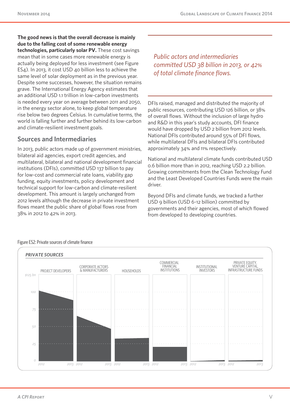**The good news is that the overall decrease is mainly due to the falling cost of some renewable energy technologies, particularly solar PV.** These cost savings mean that in some cases more renewable energy is actually being deployed for less investment (see Figure ES4). In 2013, it cost USD 40 billion less to achieve the same level of solar deployment as in the previous year. Despite some successes, however, the situation remains grave. The International Energy Agency estimates that an additional USD 1.1 trillion in low-carbon investments is needed every year on average between 2011 and 2050, in the energy sector alone, to keep global temperature rise below two degrees Celsius. In cumulative terms, the world is falling further and further behind its low-carbon and climate-resilient investment goals.

#### **Sources and Intermediaries**

In 2013, public actors made up of government ministries, bilateral aid agencies, export credit agencies, and multilateral, bilateral and national development financial institutions (DFIs), committed USD 137 billion to pay for low-cost and commercial rate loans, viability gap funding, equity investments, policy development and technical support for low-carbon and climate-resilient development. This amount is largely unchanged from 2012 levels although the decrease in private investment flows meant the public share of global flows rose from 38% in 2012 to 42% in 2013.

*Public actors and intermediaries committed USD 38 billion in 2013, or 42% of total climate finance flows.*

DFIs raised, managed and distributed the majority of public resources, contributing USD 126 billion, or 38% of overall flows. Without the inclusion of large hydro and R&D in this year's study accounts, DFI finance would have dropped by USD 2 billion from 2012 levels. National DFIs contributed around 55% of DFI flows, while multilateral DFIs and bilateral DFIs contributed approximately 34% and 11% respectively.

National and multilateral climate funds contributed USD 0.6 billion more than in 2012, reaching USD 2.2 billion. Growing commitments from the Clean Technology Fund and the Least Developed Countries Funds were the main driver.

Beyond DFIs and climate funds, we tracked a further USD 9 billion (USD 6-12 billion) committed by governments and their agencies, most of which flowed from developed to developing countries.



#### Figure ES2: Private sources of climate finance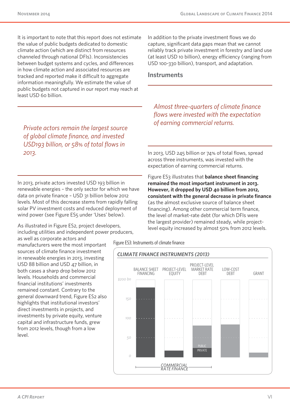It is important to note that this report does not estimate the value of public budgets dedicated to domestic climate action (which are distinct from resources channeled through national DFIs). Inconsistencies between budget systems and cycles, and differences in how climate action and associated resources are tracked and reported make it difficult to aggregate information meaningfully. We estimate the value of public budgets not captured in our report may reach at least USD 60 billion.

*Private actors remain the largest source of global climate finance, and invested USD193 billion, or 58% of total flows in 2013.*

In 2013, private actors invested USD 193 billion in renewable energies – the only sector for which we have data on private finance – USD 31 billion below 2012 levels. Most of this decrease stems from rapidly falling solar PV investment costs and reduced deployment of wind power (see Figure ES5 under 'Uses' below).

As illustrated in Figure ES2, project developers, including utilities and independent power producers,

as well as corporate actors and manufacturers were the most important sources of climate finance investment in renewable energies in 2013, investing USD 88 billion and USD 47 billion, in both cases a sharp drop below 2012 levels. Households and commercial financial institutions' investments remained constant. Contrary to the general downward trend, Figure ES2 also highlights that institutional investors' direct investments in projects, and investments by private equity, venture capital and infrastructure funds, grew from 2012 levels, though from a low level.

In addition to the private investment flows we do capture, significant data gaps mean that we cannot reliably track private investment in forestry and land use (at least USD 10 billion), energy efficiency (ranging from USD 100-330 billion), transport, and adaptation.

#### **Instruments**

*Almost three-quarters of climate finance flows were invested with the expectation of earning commercial returns.*

In 2013, USD 245 billion or 74% of total flows, spread across three instruments, was invested with the expectation of earning commercial returns.

Figure ES3 illustrates that **balance sheet financing remained the most important instrument in 2013. However, it dropped by USD 40 billion from 2012, consistent with the general decrease in private finance**  (as the almost exclusive source of balance sheet financing). Among other commercial term finance, the level of market-rate debt (for which DFIs were the largest provider) remained steady, while projectlevel equity increased by almost 50% from 2012 levels.

Figure ES3: Instruments of climate finance

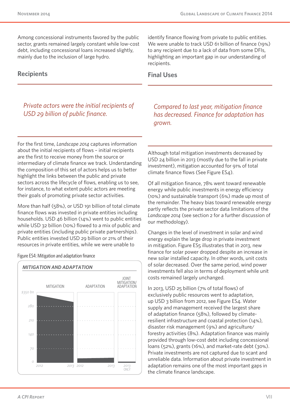Among concessional instruments favored by the public sector, grants remained largely constant while low-cost debt, including concessional loans increased slightly, mainly due to the inclusion of large hydro.

#### **Recipients**

*Private actors were the initial recipients of USD 29 billion of public finance.*

For the first time, *Landscape 2014* captures information about the initial recipients of flows – initial recipients are the first to receive money from the source or intermediary of climate finance we track. Understanding the composition of this set of actors helps us to better highlight the links between the public and private sectors across the lifecycle of flows, enabling us to see, for instance, to what extent public actors are meeting their goals of promoting private sector activities.

More than half (58%), or USD 191 billion of total climate finance flows was invested in private entities including households. USD 46 billion (14%) went to public entities while USD 32 billion (10%) flowed to a mix of public and private entities (including public private partnerships). Public entities invested USD 29 billion or 21% of their resources in private entities, while we were unable to

Figure ES4: Mitigation and adaptation finance



identify finance flowing from private to public entities. We were unable to track USD 61 billion of finance (19%) to any recipient due to a lack of data from some DFIs, highlighting an important gap in our understanding of recipients.

#### **Final Uses**

*Compared to last year, mitigation finance has decreased. Finance for adaptation has grown.*

Although total mitigation investments decreased by USD 24 billion in 2013 (mostly due to the fall in private investment), mitigation accounted for 91% of total climate finance flows (See Figure ES4).

Of all mitigation finance, 78% went toward renewable energy while public investments in energy efficiency (10%) and sustainable transport (6%) made up most of the remainder. The heavy bias toward renewable energy partly reflects the private sector data limitations of the *Landscape 2014* (see section 2 for a further discussion of our methodology).

Changes in the level of investment in solar and wind energy explain the large drop in private investment in mitigation. Figure ES5 illustrates that in 2013, new finance for solar power dropped despite an increase in new solar installed capacity. In other words, unit costs of solar decreased. Over the same period, wind power investments fell also in terms of deployment while unit costs remained largely unchanged.

In 2013, USD 25 billion (7% of total flows) of exclusively public resources went to adaptation, up USD 3 billion from 2012, see Figure ES4. Water supply and management received the largest share of adaptation finance (58%), followed by climateresilient infrastructure and coastal protection (14%), disaster risk management (9%) and agriculture/ forestry activities (8%). Adaptation finance was mainly provided through low-cost debt including concessional loans (52%), grants (16%), and market-rate debt (30%). Private investments are not captured due to scant and unreliable data. Information about private investment in adaptation remains one of the most important gaps in the climate finance landscape.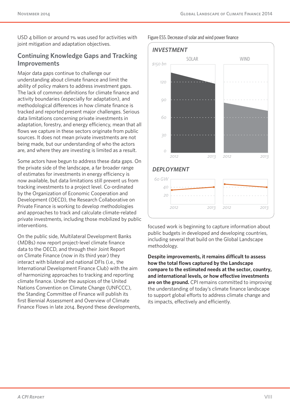USD 4 billion or around 1% was used for activities with joint mitigation and adaptation objectives.

#### **Continuing Knowledge Gaps and Tracking Improvements**

Major data gaps continue to challenge our understanding about climate finance and limit the ability of policy makers to address investment gaps. The lack of common definitions for climate finance and activity boundaries (especially for adaptation), and methodological differences in how climate finance is tracked and reported present major challenges. Serious data limitations concerning private investments in adaptation, forestry, and energy efficiency, mean that all flows we capture in these sectors originate from public sources. It does not mean private investments are not being made, but our understanding of who the actors are, and where they are investing is limited as a result.

Some actors have begun to address these data gaps. On the private side of the landscape, a far broader range of estimates for investments in energy efficiency is now available, but data limitations still prevent us from tracking investments to a project level. Co-ordinated by the Organization of Economic Cooperation and Development (OECD), the Research Collaborative on Private Finance is working to develop methodologies and approaches to track and calculate climate-related private investments, including those mobilized by public interventions.

On the public side, Multilateral Development Banks (MDBs) now report project-level climate finance data to the OECD, and through their Joint Report on Climate Finance (now in its third year) they interact with bilateral and national DFIs (i.e., the International Development Finance Club) with the aim of harmonizing approaches to tracking and reporting climate finance. Under the auspices of the United Nations Convention on Climate Change (UNFCCC), the Standing Committee of Finance will publish its first Biennial Assessment and Overview of Climate Finance Flows in late 2014. Beyond these developments, Figure ES5. Decrease of solar and wind power finance



focused work is beginning to capture information about public budgets in developed and developing countries, including several that build on the Global Landscape methodology.

**Despite improvements, it remains difficult to assess how the total flows captured by the Landscape compare to the estimated needs at the sector, country, and international levels, or how effective investments are on the ground.** CPI remains committed to improving the understanding of today's climate finance landscape to support global efforts to address climate change and its impacts, effectively and efficiently.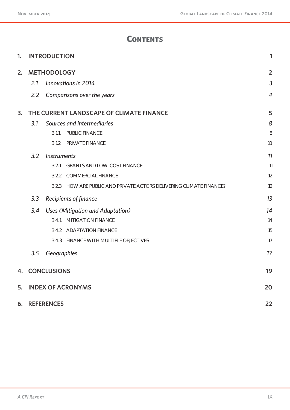# **Contents**

| 1. | <b>INTRODUCTION</b><br>1             |                    |                                                               |                |  |  |  |  |
|----|--------------------------------------|--------------------|---------------------------------------------------------------|----------------|--|--|--|--|
| 2. | <b>METHODOLOGY</b><br>$\overline{2}$ |                    |                                                               |                |  |  |  |  |
|    | 2.1                                  |                    | Innovations in 2014                                           | 3              |  |  |  |  |
|    | 2.2                                  |                    | Comparisons over the years                                    | $\overline{4}$ |  |  |  |  |
| 3. |                                      |                    | THE CURRENT LANDSCAPE OF CLIMATE FINANCE                      | 5              |  |  |  |  |
|    | 3.1                                  |                    | Sources and intermediaries                                    | 8              |  |  |  |  |
|    |                                      | 3.1.1              | PUBLIC FINANCE                                                | 8              |  |  |  |  |
|    |                                      | 3.1.2              | PRIVATE FINANCE                                               | 10             |  |  |  |  |
|    | 3.2                                  | <b>Instruments</b> |                                                               | 11             |  |  |  |  |
|    |                                      | 3.2.1              | <b>GRANTS AND LOW-COST FINANCE</b>                            | 11             |  |  |  |  |
|    |                                      | 3.2.2              | <b>COMMERCIAL FINANCE</b>                                     | 12             |  |  |  |  |
|    |                                      | 3.2.3              | HOW ARE PUBLIC AND PRIVATE ACTORS DELIVERING CLIMATE FINANCE? | 12             |  |  |  |  |
|    | 3.3                                  |                    | <b>Recipients of finance</b>                                  | 13             |  |  |  |  |
|    | 3.4                                  |                    | Uses (Mitigation and Adaptation)                              | 14             |  |  |  |  |
|    |                                      | 3.4.1              | MITIGATION FINANCE                                            | 14             |  |  |  |  |
|    |                                      | 3.4.2              | <b>ADAPTATION FINANCE</b>                                     | 15             |  |  |  |  |
|    |                                      |                    | 3.4.3 FINANCE WITH MULTIPLE OBJECTIVES                        | 17             |  |  |  |  |
|    | 3.5                                  | Geographies        |                                                               | 17             |  |  |  |  |
|    |                                      | 4. CONCLUSIONS     |                                                               | 19             |  |  |  |  |
| 5. |                                      |                    | <b>INDEX OF ACRONYMS</b>                                      | 20             |  |  |  |  |
|    | 6. REFERENCES<br>22                  |                    |                                                               |                |  |  |  |  |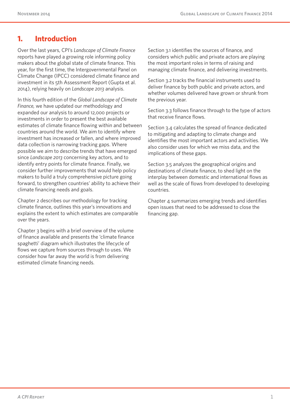# **1. Introduction**

Over the last years, CPI's *Landscape of Climate Finance*  reports have played a growing role informing policy makers about the global state of climate finance. This year, for the first time, the Intergovernmental Panel on Climate Change (IPCC) considered climate finance and investment in its 5th Assessment Report (Gupta et al. 2014), relying heavily on *Landscape 2013* analysis.

In this fourth edition of the *Global Landscape of Climate Finance,* we have updated our methodology and expanded our analysis to around 12,000 projects or investments in order to present the best available estimates of climate finance flowing within and between countries around the world. We aim to identify where investment has increased or fallen, and where improved data collection is narrowing tracking gaps. Where possible we aim to describe trends that have emerged since *Landscape 2013* concerning key actors, and to identify entry points for climate finance. Finally, we consider further improvements that would help policy makers to build a truly comprehensive picture going forward, to strengthen countries' ability to achieve their climate financing needs and goals.

Chapter 2 describes our methodology for tracking climate finance, outlines this year's innovations and explains the extent to which estimates are comparable over the years.

Chapter 3 begins with a brief overview of the volume of finance available and presents the 'climate finance spaghetti' diagram which illustrates the lifecycle of flows we capture from sources through to uses. We consider how far away the world is from delivering estimated climate financing needs.

Section 3.1 identifies the sources of finance, and considers which public and private actors are playing the most important roles in terms of raising and managing climate finance, and delivering investments.

Section 3.2 tracks the financial instruments used to deliver finance by both public and private actors, and whether volumes delivered have grown or shrunk from the previous year.

Section 3.3 follows finance through to the type of actors that receive finance flows.

Section 3.4 calculates the spread of finance dedicated to mitigating and adapting to climate change and identifies the most important actors and activities. We also consider uses for which we miss data, and the implications of these gaps.

Section 3.5 analyzes the geographical origins and destinations of climate finance, to shed light on the interplay between domestic and international flows as well as the scale of flows from developed to developing countries.

Chapter 4 summarizes emerging trends and identifies open issues that need to be addressed to close the financing gap.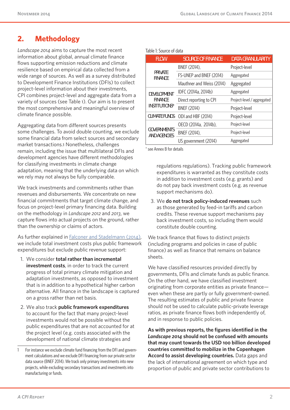# **2. Methodology**

*Landscape 2014* aims to capture the most recent information about global, annual climate finance flows supporting emission reductions and climate resilience based on empirical data collected from a wide range of sources. As well as a survey distributed to Development Finance Institutions (DFIs) to collect project-level information about their investments, CPI combines project-level and aggregate data from a variety of sources (see Table 1). Our aim is to present the most comprehensive and meaningful overview of climate finance possible.

Aggregating data from different sources presents some challenges. To avoid double counting, we exclude some financial data from select sources and secondary market transactions.1 Nonetheless, challenges remain, including the issue that multilateral DFIs and development agencies have different methodologies for classifying investments in climate change adaptation, meaning that the underlying data on which we rely may not always be fully comparable.

We track investments and commitments rather than revenues and disbursements. We concentrate on new financial commitments that target climate change, and focus on project-level primary financing data. Building on the methodology in *Landscape 2012* and *2013*, we capture flows into actual projects on the ground, rather than the ownership or claims of actors.

As further explained in Falconer and Stadelmann (2014), we include total investment costs plus public framework expenditures but exclude public revenue support:

- 1. We consider **total rather than incremental investment costs**, in order to track the current progress of total primary climate mitigation and adaptation investments, as opposed to investment that is in addition to a hypothetical higher carbon alternative. All finance in the landscape is captured on a gross rather than net basis.
- 2. We also track **public framework expenditures**  to account for the fact that many project-level investments would not be possible without the public expenditures that are not accounted for at the project level (e.g. costs associated with the development of national climate strategies and

|  | Table 1: Source of data |  |  |
|--|-------------------------|--|--|
|--|-------------------------|--|--|

| <b>FLOW</b>                               | <b>SOURCE OF FINANCE</b>  | <b>DATA GRANULARITY</b>    |
|-------------------------------------------|---------------------------|----------------------------|
|                                           | BNEF (2014),              | Project-level              |
| <b>PRIVATE</b><br><b>FINANCF</b>          | FS-UNEP and BNEF (2014)   | Aggregated                 |
|                                           | Mauthner and Weiss (2014) | Aggregated                 |
| <b>DEVELOPMENT</b>                        | IDFC (2014a, 2014b)       | Aggregated                 |
| <b>FINANCF</b>                            | Direct reporting to CPI   | Project-level / aggregated |
| <b>INSTITUTIONS*</b>                      | <b>BNEF (2014)</b>        | Project-level              |
| <b>CLIMATE FUNDS</b>                      | ODI and HBF (2014)        | Project-level              |
|                                           | OECD (2014a, 2014b),      | Project-level              |
| <b>GOVERNMENTS</b><br><b>AND AGENCIES</b> | BNEF (2014),              | Project-level              |
|                                           | US government (2014)      | Aggregated                 |

\* see Annex B for details

regulations regulations). Tracking public framework expenditures is warranted as they constitute costs in addition to investment costs (e.g. grants) and do not pay back investment costs (e.g. as revenue support mechanisms do).

3. We **do not track policy-induced revenues** such as those generated by feed-in tariffs and carbon credits. These revenue support mechanisms pay back investment costs, so including them would constitute double counting.

We track finance that flows to distinct *projects* (including programs and policies in case of public finance) as well as finance that remains on balance sheets.

We have classified resources provided directly by governments, DFIs and climate funds as public finance. On the other hand, we have classified investment originating from corporate entities as private finance even when these are partly or fully government-owned. The resulting estimates of public and private finance should not be used to calculate public-private leverage ratios, as private finance flows both independently of, and in response to public policies.

**As with previous reports, the figures identified in the**  *Landscape 2014* **should not be confused with amounts that may count towards the USD 100 billion developed countries committed to mobilize in the Copenhagen Accord to assist developing countries.** Data gaps and the lack of international agreement on which type and proportion of public and private sector contributions to

<sup>1</sup> For instance we exclude climate fund financing from the DFI and government calculations and we exclude DFI financing from our private sector data source (BNEF 2014). We track only primary investments into new projects, while excluding secondary transactions and investments into manufacturing or funds.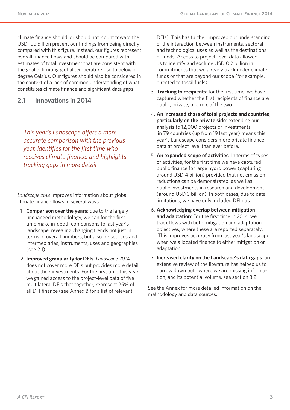climate finance should, or should not, count toward the USD 100 billion prevent our findings from being directly compared with this figure. Instead, our figures represent overall finance flows and should be compared with estimates of total investment that are consistent with the goal of limiting global temperature rise to below 2 degree Celsius. Our figures should also be considered in the context of a lack of common understanding of what constitutes climate finance and significant data gaps.

#### **2.1 Innovations in 2014**

*This year's Landscape offers a more accurate comparison with the previous year, identifies for the first time who receives climate finance, and highlights tracking gaps in more detail* 

*Landscape 2014* improves information about global climate finance flows in several ways.

- 1. **Comparison over the years**: due to the largely unchanged methodology, we can for the first time make in-depth comparisons to last year's landscape, revealing changing trends not just in terms of overall numbers, but also for sources and intermediaries, instruments, uses and geographies (see 2.1).
- 2. **Improved granularity for DFIs**: *Landscape 2014* does not cover more DFIs but provides more detail about their investments. For the first time this year, we gained access to the project-level data of five multilateral DFIs that together, represent 25% of all DFI finance (see Annex B for a list of relevant

DFIs). This has further improved our understanding of the interaction between instruments, sectoral and technological uses as well as the destinations of funds. Access to project-level data allowed us to identify and exclude USD 0.2 billion in commitments that we already track under climate funds or that are beyond our scope (for example, directed to fossil fuels).

- 3. **Tracking to recipients**: for the first time, we have captured whether the first recipients of finance are public, private, or a mix of the two.
- 4. **An increased share of total projects and countries, particularly on the private side**: extending our analysis to 12,000 projects or investments in 79 countries (up from 19 last year) means this year's Landscape considers more private finance data at project level than ever before.
- 5. **An expanded scope of activities**: In terms of types of activities, for the first time we have captured public finance for large hydro power (capturing around USD 4 billion) provided that net emission reductions can be demonstrated, as well as public investments in research and development (around USD 3 billion). In both cases, due to data limitations, we have only included DFI data.
- 6. **Acknowledging overlap between mitigation and adaptation**: For the first time in 2014, we track flows with both mitigation and adaptation objectives, where these are reported separately. This improves accuracy from last year's landscape when we allocated finance to either mitigation or adaptation.
- 7. **Increased clarity on the Landscape's data gaps**: an extensive review of the literature has helped us to narrow down both where we are missing information, and its potential volume, see section 3.2.

See the Annex for more detailed information on the methodology and data sources.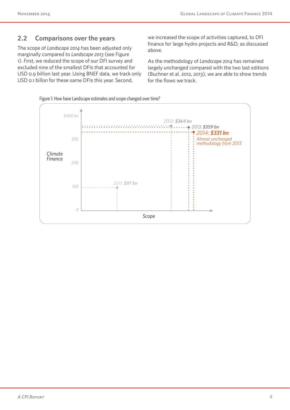#### **2.2 Comparisons over the years**

The scope of *Landscape 2014* has been adjusted only marginally compared to *Landscape 2013* (see Figure 1). First, we reduced the scope of our DFI survey and excluded nine of the smallest DFIs that accounted for USD 0.9 billion last year. Using BNEF data, we track only USD 0.1 billon for these same DFIs this year. Second,

we increased the scope of activities captured, to DFI finance for large hydro projects and R&D, as discussed above.

As the methodology of *Landscape 2014* has remained largely unchanged compared with the two last editions (Buchner et al. 2012, 2013), we are able to show trends for the flows we track.



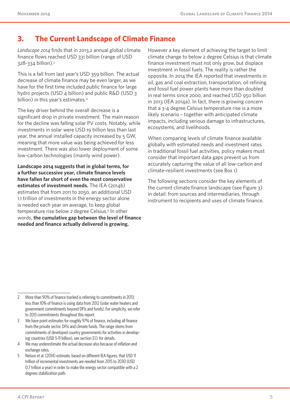# **3. The Current Landscape of Climate Finance**

*Landscape 2014* finds that in 2013,2 annual global climate finance flows reached USD 331 billion (range of USD 328-334 billion).3

This is a fall from last year's USD 359 billion. The actual decrease of climate finance may be even larger, as we have for the first time included public finance for large hydro projects (USD 4 billion) and public R&D (USD 3 billion) in this year's estimates.4

The key driver behind the overall decrease is a significant drop in private investment. The main reason for the decline was falling solar PV costs. Notably, while investments in solar were USD 19 billion less than last year, the annual installed capacity increased by 5 GW, meaning that more value was being achieved for less investment. There was also lower deployment of some low-carbon technologies (mainly wind power).

**Landscape 2014 suggests that in global terms, for a further successive year, climate finance levels have fallen far short of even the most conservative estimates of investment needs.** The IEA (2014b) estimates that from 2011 to 2050, an additional USD 1.1 trillion of investments in the energy sector alone is needed each year on average, to keep global temperature rise below 2 degree Celsius.<sup>5</sup> In other words, **the cumulative gap between the level of finance needed and finance actually delivered is growing.**

However a key element of achieving the target to limit climate change to below 2 degree Celsius is that climate finance investment must not only grow, but displace investment in fossil fuels. The reality is rather the opposite. In 2014 the IEA reported that investments in oil, gas and coal extraction, transportation, oil refining and fossil fuel power plants have more than doubled in real terms since 2000, and reached USD 950 billion in 2013 (IEA 2014a). In fact, there is growing concern that a 3-4 degree Celsius temperature rise is a more likely scenario – together with anticipated climate impacts, including serious damage to infrastructures, ecosystems, and livelihoods.

When comparing levels of climate finance available globally with estimated needs and investment rates in traditional fossil fuel activities, policy makers must consider that important data gaps prevent us from accurately capturing the value of all low-carbon and climate-resilient investments (see Box 1)

The following sections consider the key elements of the current climate finance landscape (see Figure 3) in detail: from sources and intermediaries, through instrument to recipients and uses of climate finance.

- 4 We may underestimate the actual decrease also because of inflation and exchange rates.
- 5 Nelson et al. (2014) estimate, based on different IEA figures, that USD 11 trillion of incremental investments are needed from 2015 to 2030 (USD 0.7 trillion a year) in order to make the energy sector compatible with a 2 degrees stabilization path.

<sup>2</sup> More than 90% of finance tracked is referring to commitments in 2013; less than 10% of finance is using data from 2012 (solar water heaters and government commitments beyond DFIs and funds). For simplicity, we refer to 2013 commitments throughout this report.

<sup>3</sup> We have point estimates for roughly 97% of finance, including all finance from the private sector, DFIs and climate funds. The range stems from commitments of developed country governments for activities in developing countries (USD 5-11 billion), see section 3.1.1. for details.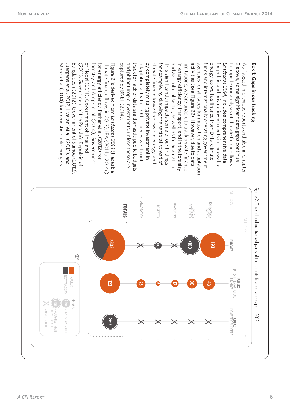**Box 1: Gaps in our tracking**<br>**Box 1:** Gaps in previous reports and also in Chapter<br>As flagged in previous reports and also in Chapter<br> $\mathbf{A}_5$  also some significant data gaps continues.<br>
As flagged in private investment

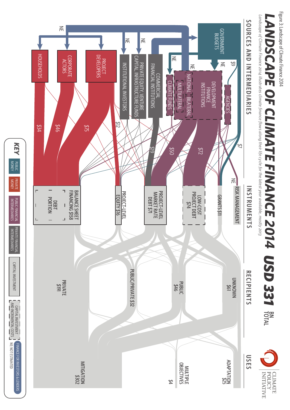Figure 3: Landscape of Climate Finance 2014 Figure 3: Landscape of Climate Finance 2014

# *LANDSCAPE OF CLIMATE FINANCE 2014 USD 331* BN<br>TOTAL

CLIMATE



MONEY PUBLIC

KEY

**MONEY**<br>MONEY

PRIVATE PUBLIC FINANCIAL

PRIVATE FINANCIAL INTERMEDIARIES

PRIVATE FINANCIAL<br>INTERMEDIARIES

CAPITAL INVESTMENT

**CAPITAL INVESTMENT** 

NE: PRIVATE PUBLIC PRIVATE PUBLIC FINANCIAL PRIVATE FINANCIAL CAPTAL INVESTIVIENT ( CAPTAL INVESTIVIENT CAPTAL INVESTORS ( RENDERS & LENDERS & LENDERS & LENDERS<br>MONEY MONEY MONEY INTERNIEDIARIES INTERNIEDIARIES ( APTAL INV

**CAPITAL INVESTMENT AND INVANCE FOR INVESTIGATION**<br>AN<u>D INCREMENTAL COSTS AND INCROT ESTIMATED</u>

FINANCE FOR INVESTORS & LENDERS

INTERMEDIARIES

PUBLIC FINANCIAL<br>INTERMEDIARIES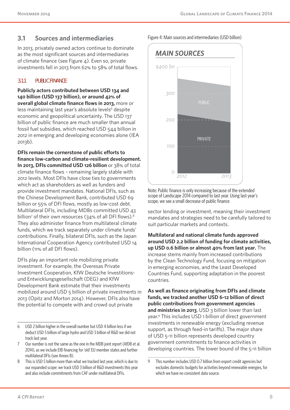## **3.1 Sources and intermediaries**

In 2013, privately owned actors continue to dominate as the most significant sources and intermediaries of climate finance (see Figure 4). Even so, private investments fell in 2013 from 62% to 58% of total flows.

#### **3.1.1 PUBLIC FINANCE**

**Publicly actors contributed between USD 134 and 140 billion (USD 137 billion), or around 42% of overall global climate finance flows in 2013,** more or less maintaining last year's absolute levels<sup>6</sup> despite economic and geopolitical uncertainty. The USD 137 billion of public finance are much smaller than annual fossil fuel subsidies, which reached USD 544 billion in 2012 in emerging and developing economies alone (IEA 2013b).

**DFIs remain the cornerstone of public efforts to finance low-carbon and climate-resilient development. In 2013, DFIs committed USD 126 billion** or 38% of total climate finance flows – remaining largely stable with 2012 levels. Most DFIs have close ties to governments which act as shareholders as well as funders and provide investment mandates. National DFIs, such as the Chinese Development Bank, contributed USD 69 billion or 55% of DFI flows, mostly as low-cost debt. Multilateral DFIs, including MDBs committed USD 43 billion<sup>7</sup> of their own resources (34% of all DFI flows).<sup>8</sup> They also administer finance from multilateral climate funds, which we track separately under climate funds' contributions. Finally, bilateral DFIs, such as the Japan International Cooperation Agency contributed USD 14 billion (11% of all DFI flows).

DFIs play an important role mobilizing private investment. For example, the Overesas Private Investment Cooperation, KfW Deutsche Investitionsund Entwicklungsgesellschaft (DEG) and KfW Development Bank estimate that their investments mobilized around USD 5 billion of private investments in 2013 (Opitz and Morton 2014). However, DFIs also have the potential to compete with and crowd out private

Figure 4: Main sources and intermediaries (USD billion)



Note: Public finance is only increasing because of the extended scope of Landscape 2014 compared to last year. Using last year's scope, we see a small decrease of public finance

sector lending or investment, meaning their investment mandates and strategies need to be carefully tailored to suit particular markets and contexts.

**Multilateral and national climate funds approved around USD 2.2 billion of funding for climate activities, up USD 0.6 billion or almost 40% from last year.** The increase stems mainly from increased contributions by the Clean Technology Fund, focusing on mitigation in emerging economies, and the Least Developed Countries Fund, supporting adaptation in the poorest countries.

**As well as finance originating from DFIs and climate funds, we tracked another USD 6-12 billion of direct public contributions from government agencies and ministries in 2013**, USD 3 billion lower than last year.9 This includes USD 1 billion of direct government investments in renewable energy (excluding revenue support, as through feed-in tariffs). The major share of USD 5-11 billion represents developed country government commitments to finance activities in developing countries. The lower bound of the 5-11 billion

<sup>6</sup> USD 2 billion higher in the overall number but USD 4 billion less if we deduct USD 5 billion of large hydro and USD 3 billion of R&D we did not track last year.

<sup>7</sup> Our number is not the same as the one in the MDB joint report (AfDB et al. 2014), as we include EIB financing for 'old' EU member states and further multilateral DFIs (see Annex B).

<sup>8</sup> This is USD 5 billion more than what we tracked last year, which is due to our expanded scope: we track USD 3 billion of R&D investments this year and also include commitments from CAF under multilateral DFIs.

<sup>9</sup> This number includes USD 0.7 billion from export credit agencies but excludes domestic budgets for activities beyond renewable energies, for which we have no consistent data source.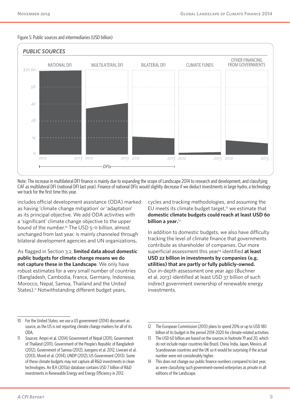



Note: The increase in multilateral DFI finance is mainly due to expanding the scope of Landscape 2014 to research and development, and classifying CAF as multilateral DFI (national DFI last year). Finance of national DFIs would slighlty decrease if we deduct investments in large hydro, a technology we track for the first time this year.

includes official development assistance (ODA) marked as having 'climate change mitigation' or 'adaptation' as its principal objective. We add ODA activities with a 'significant' climate change objective to the upper bound of the number.10 The USD 5-11 billion, almost unchanged from last year, is mainly channeled through bilateral development agencies and UN organizations**.**

As flagged in Section 3.2, **limited data about domestic public budgets for climate change means we do not capture these in the Landscape**. We only have robust estimates for a very small number of countries (Bangladesh, Cambodia, France, Germany, Indonesia, Morocco, Nepal, Samoa, Thailand and the United States).<sup>11</sup> Notwithstanding different budget years,

10 For the United States, we use a US government (2014) document as source, as the US is not reporting climate change markers for all of its ODA.

cycles and tracking methodologies, and assuming the EU meets its climate budget target,<sup>12</sup> we estimate that **domestic climate budgets could reach at least USD 60 billion a year.**<sup>13</sup>

In addition to domestic budgets, we also have difficulty tracking the level of climate finance that governments contribute as shareholder of companies. Our more superficial assessment this year14 identified **at least USD 22 billion in investments by companies (e.g. utilities) that are partly or fully publicly-owned.**  Our in-depth assessment one year ago (Buchner et al. 2013) identified at least USD 37 billion of such indirect government ownership of renewable energy investments.

<sup>11</sup> Sources: Ampri et al. (2014) Government of Nepal (2011), Government of Thailand (2011), Government of the People's Republic of Bangladesh (2012), Government of Samoa (2012), Juergens et al. 2012, Liverani et al. (2013), Morel et al. (2014), UNDP (2012), US Government (2013). Some of these climate budgets may not capture all R&D investments in clean technologies. An IEA (2013a) database contains USD 7 billion of R&D investments in Renewable Energy and Energy Efficiency in 2012.

<sup>12</sup> The European Commission (2013) plans to spend 20% or up to USD 180 billion of its budget in the period 2014-2020 for climate-related activities

<sup>13</sup> The USD 60 billion are based on the sources in footnote 19 and 20, which do not include major countries like Brazil, China, India, Japan, Mexico, all Scandinavian countries and the UK so it would be surprising if the actual number were not considerably higher.

<sup>14</sup> This does not change our public finance numbers compared to last year, as were classifying such government-owned enterprises as private in all editions of the Landscape.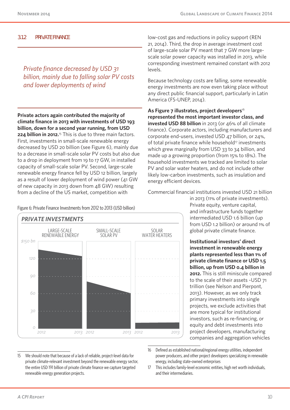#### **3.1.2 PRIVATE FINANCE**

*Private finance decreased by USD 31 billion, mainly due to falling solar PV costs and lower deployments of wind* 

**Private actors again contributed the majority of climate finance in 2013 with investments of USD 193 billion, down for a second year running, from USD 224 billion in 2012.**15 This is due to three main factors. First, investments in small-scale renewable energy decreased by USD 20 billion (see Figure 6), mainly due to a decrease in small-scale solar PV costs but also due to a drop in deployment from 19 to 17 GW, in installed capacity of small-scale solar PV. Second, large-scale renewable energy finance fell by USD 12 billion, largely as a result of lower deployment of wind power (41 GW of new capacity in 2013 down from 48 GW) resulting from a decline of the US market, competition with

Figure 6: Private Finance Investments from 2012 to 2013 (USD billion)



low-cost gas and reductions in policy support (REN 21, 2014). Third, the drop in average investment cost of large-scale solar PV meant that 7 GW more largescale solar power capacity was installed in 2013, while corresponding investment remained constant with 2012 levels.

Because technology costs are falling, some renewable energy investments are now even taking place without any direct public financial support, particularly in Latin America (FS-UNEP, 2014).

As Figure 7 illustrates, project developers<sup>16</sup> **represented the most important investor class, and invested USD 88 billion** in 2013 (or 46% of all climate finance). Corporate actors, including manufacturers and corporate end-users, invested USD 47 billion, or 24%, of total private finance while household<sup>17</sup> investments which grew marginally from USD 33 to 34 billion, and made up a growing proportion (from 15% to 18%). The household investments we tracked are limited to solar PV and solar water heaters, and do not include other likely low-carbon investments, such as insulation and energy efficient devices.

Commercial financial institutions invested USD 21 billion

in 2013 (11% of private investments). Private equity, venture capital, and infrastructure funds together intermediated USD 1.6 billion (up from USD 1.2 billion) or around 1% of global private climate finance.

**Institutional investors' direct investment in renewable energy plants represented less than 1% of private climate finance or USD 1.5 billion, up from USD 0.4 billion in 2012.** This is still miniscule compared to the scale of their assets ~USD 71 trillion (see Nelson and Pierpont, 2013). However, as we only track primary investments into single projects, we exclude activities that are more typical for institutional investors, such as re-financing, or equity and debt investments into project developers, manufacturing companies and aggregation vehicles

- 15 We should note that because of a lack of reliable, project-level data for private climate-relevant investment beyond the renewable energy sector, the entire USD 191 billion of private climate finance we capture targeted renewable energy generation projects.
- 16 Defined as established national/regional energy utilities, independent power producers, and other project developers specializing in renewable energy, including state-owned enterprises
- 17 This includes family-level economic entities, high net worth individuals, and their intermediaries.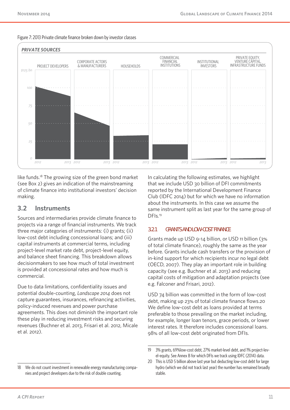



like funds.18 The growing size of the green bond market (see Box 2) gives an indication of the mainstreaming of climate finance into institutional investors' decision making.

#### **3.2 Instruments**

Sources and intermediaries provide climate finance to projects via a range of financial instruments. We track three major categories of instruments: (i) grants; (ii) low-cost debt including concessional loans; and (iii) capital instruments at commercial terms, including project-level market rate debt, project-level equity, and balance sheet financing. This breakdown allows decisionmakers to see how much of total investment is provided at concessional rates and how much is commercial.

Due to data limitations, confidentiality issues and potential double-counting, *Landscape 2014* does not capture guarantees, insurances, refinancing activities, policy-induced revenues and power purchase agreements. This does not diminish the important role these play in reducing investment risks and securing revenues (Buchner et al. 2013, Frisari et al. 2012, Micale et al. 2012).

In calculating the following estimates, we highlight that we include USD 30 billion of DFI commitments reported by the International Development Finance Club (IDFC 2014) but for which we have no information about the instruments. In this case we assume the same instrument split as last year for the same group of DFIs*.* 19

#### **3.2.1 GRANTS AND LOW-COST FINANCE**

Grants made up USD 9-14 billion, or USD 11 billion (3% of total climate finance), roughly the same as the year before. Grants include cash transfers or the provision of in-kind support for which recipients incur no legal debt (OECD, 2007). They play an important role in building capacity (see e.g. Buchner et al. 2013) and reducing capital costs of mitigation and adaptation projects (see e.g. Falconer and Frisari, 2012).

USD 74 billion was committed in the form of low-cost debt, making up 23% of total climate finance flows.20 We define low-cost debt as loans provided at terms preferable to those prevailing on the market including, for example, longer loan tenors, grace periods, or lower interest rates. It therefore includes concessional loans. 98% of all low-cost debt originated from DFIs.

<sup>19</sup> 3% grants, 69%low-cost debt, 27% market-level debt, and 1% project-level-equity. See Annex B for which DFIs we track using IDFC (2014) data.

<sup>20</sup> This is USD 5 billion above last year but deducting low-cost debt for large hydro (which we did not track last year) the number has remained broadly stable.

<sup>18</sup> We do not count investment in renewable energy manufacturing companies and project developers due to the risk of double counting.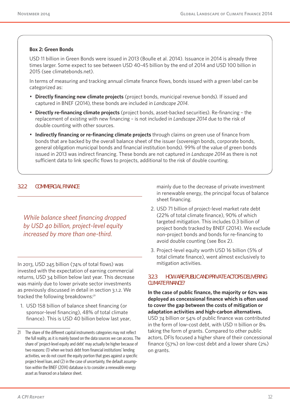#### **Box 2: Green Bonds**

USD 11 billion in Green Bonds were issued in 2013 (Boulle et al. 2014). Issuance in 2014 is already three times larger. Some expect to see between USD 40-45 billion by the end of 2014 and USD 100 billion in 2015 (see climatebonds.net).

In terms of measuring and tracking annual climate finance flows, bonds issued with a green label can be categorized as:

- **Directly financing new climate projects** (project bonds, municipal revenue bonds). If issued and captured in BNEF (2014), these bonds are included in *Landscape 2014*.
- **Directly re-financing climate projects** (project bonds, asset-backed securities). Re-financing the replacement of existing with new financing – is not included in *Landscape 2014* due to the risk of double counting with other sources.
- **Indirectly financing or re-financing climate projects** through claims on green use of finance from bonds that are backed by the overall balance sheet of the issuer (sovereign bonds, corporate bonds, general obligation municipal bonds and financial institution bonds). 99% of the value of green bonds issued in 2013 was indirect financing. These bonds are not captured in *Landscape 2014* as there is not sufficient data to link specific flows to projects, additional to the risk of double counting.

#### **3.2.2 COMMERCIAL FINANCE**

*While balance sheet financing dropped by USD 40 billion, project-level equity increased by more than one-third.*

In 2013, USD 245 billion (74% of total flows) was invested with the expectation of earning commercial returns, USD 34 billion below last year. This decrease was mainly due to lower private sector investments as previously discussed in detail in section 3.1.2. We tracked the following breakdowns:<sup>21</sup>

1. USD 158 billion of balance sheet financing (or sponsor-level financing), 48% of total climate finance). This is USD 40 billion below last year, mainly due to the decrease of private investment in renewable energy, the principal focus of balance sheet financing.

- 2. USD 71 billion of project-level market rate debt (22% of total climate finance), 90% of which targeted mitigation. This includes 0.3 billion of project bonds tracked by BNEF (2014). We exclude non-project bonds and bonds for re-financing to avoid double counting (see Box 2).
- 3. Project-level equity worth USD 16 billion (5% of total climate finance), went almost exclusively to mitigation activities.

#### **3.2.3 HOW ARE PUBLIC AND PRIVATE ACTORS DELIVERING CLIMATE FINANCE?**

**In the case of public finance, the majority or 62% was deployed as concessional finance which is often used to cover the gap between the costs of mitigation or adaptation activities and high-carbon alternatives.** USD 74 billion or 54% of public finance was contributed in the form of low-cost debt, with USD 11 billion or 8% taking the form of grants. Compared to other public actors, DFIs focused a higher share of their concessional finance (57%) on low-cost debt and a lower share (2%) on grants.

<sup>21</sup> The share of the different capital instruments categories may not reflect the full reality, as it is mainly based on the data sources we can access. The share of 'project-level equity and debt' may actually be higher because of two reasons: (1) when we track debt from financial institutions' lending activities, we do not count the equity portion that goes against a specific project-level loan, and (2) in the case of uncertainty, the default assumption within the BNEF (2014) database is to consider a renewable energy asset as financed on a balance sheet.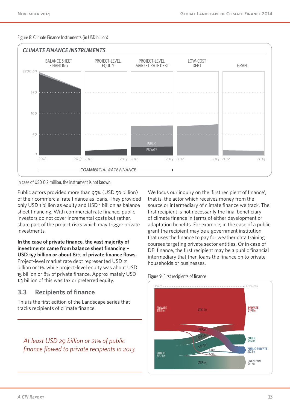#### Figure 8: Climate Finance Instruments (in USD billion)



In case of USD 0.2 million, the instrument is not known.

Public actors provided more than 95% (USD 50 billion) of their commercial rate finance as loans. They provided only USD 1 billion as equity and USD 1 billion as balance sheet financing. With commercial rate finance, public investors do not cover incremental costs but rather, share part of the project risks which may trigger private investments.

In the case of private finance, the vast majority of **investments came from balance sheet financing -**USD 157 billion or about 81% of private finance flows. Project-level market rate debt represented USD 21 billion or 11% while project-level equity was about USD 15 billion or 8% of private finance. Approximately USD 1.3 billion of this was tax or preferred equity.

#### **3.3 Recipients of finance**

This is the first edition of the Landscape series that tracks recipients of climate finance.

*At least USD 29 billion or 21% of public fi nance fl owed to private recipients in 2013* We focus our inquiry on the 'first recipient of finance', that is, the actor which receives money from the source or intermediary of climate finance we track. The first recipient is not necessarily the final beneficiary of climate finance in terms of either development or adaptation benefits. For example, in the case of a public grant the recipient may be a government institution that uses the finance to pay for weather data training courses targeting private sector entities. Or in case of DFI finance, the first recipient may be a public financial intermediary that then loans the finance on to private households or businesses.

#### Figure 9: First recipients of finance

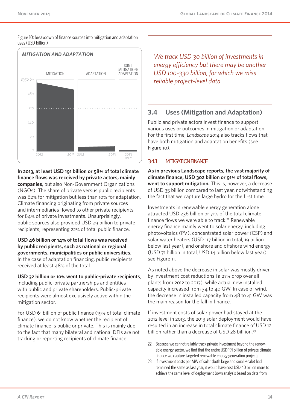



**In 2013, at least USD 191 billion or 58% of total climate finance flows was received by private actors, mainly companies**, but also Non-Government Organizations (NGOs). The share of private versus public recipients was 62% for mitigation but less than 10% for adaptation. Climate financing originating from private sources and intermediaries flowed to other private recipients for 84% of private investments. Unsurprisingly, public sources also provided USD 29 billion to private recipients, representing 22% of total public finance.

#### **USD 46 billion or 14% of total flows was received by public recipients, such as national or regional governments, municipalities or public universities.** In the case of adaptation financing, public recipients received at least 48% of the total.

#### **USD 32 billion or 10% went to public-private recipients**,

including public-private partnerships and entities with public and private shareholders. Public-private recipients were almost exclusively active within the mitigation sector.

For USD 61 billion of public finance (19% of total climate finance), we do not know whether the recipient of climate finance is public or private. This is mainly due to the fact that many bilateral and national DFIs are not tracking or reporting recipients of climate finance.

*We track USD 30 billion of investments in energy efficiency but there may be another USD 100-330 billion, for which we miss reliable project-level data*

## **3.4 Uses (Mitigation and Adaptation)**

Public and private actors invest finance to support various uses or outcomes in mitigation or adaptation. For the first time, *Landscape 2014* also tracks flows that have both mitigation and adaptation benefits (see Figure 10).

#### **3.4.1 MITIGATION FINANCE**

**As in previous Landscape reports, the vast majority of climate finance, USD 302 billion or 91% of total flows, went to support mitigation.** This is, however, a decrease of USD 35 billion compared to last year, notwithstanding the fact that we capture large hydro for the first time.

Investments in renewable energy generation alone attracted USD 236 billion or 71% of the total climate finance flows we were able to track.<sup>22</sup> Renewable energy finance mainly went to solar energy, including photovoltaics (PV), concentrated solar power (CSP) and solar water heaters (USD 117 billion in total, 19 billion below last year), and onshore and offshore wind energy (USD 71 billion in total, USD 14 billion below last year), see Figure 11.

As noted above the decrease in solar was mostly driven by investment cost reductions (a 27% drop over all plants from 2012 to 2013), while actual new installed capacity increased from 34 to 40 GW. In case of wind, the decrease in installed capacity from 48 to 41 GW was the main reason for the fall in finance.

If investment costs of solar power had stayed at the 2012 level in 2013, the 2013 solar deployment would have resulted in an increase in total climate finance of USD 12 billion rather than a decrease of USD 28 billlion.<sup>23</sup>

<sup>22</sup> Because we cannot reliably track private investment beyond the renewable energy sector, we find that the entire USD 191 billion of private climate finance we capture targeted renewable energy generation projects.

<sup>23</sup> If investment costs per MW of solar (both large and small-scale) had remained the same as last year, it would have cost USD 40 billion more to achieve the same level of deployment (own analysis based on data from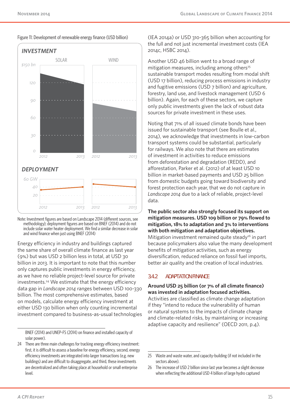

#### Figure 11: Development of renewable energy finance (USD billion)

Note: Investment figures are based on Landscape 2014 (different sources, see methodology); deployment figures are based on BNEF (2014) and do not include solar water heater deployment. We find a similar decrease in solar and wind finance when just using BNEF (2014)

Energy efficiency in industry and buildings captured the same share of overall climate finance as last year (9%) but was USD 2 billion less in total, at USD 30 billion in 2013. It is important to note that this number only captures public investments in energy efficiency, as we have no reliable project-level source for private investments.24 We estimate that the energy efficiency data gap in *Landscape 2014* ranges between USD 100-330 billion. The most comprehensive estimates, based on models, calculate energy efficiency investment at either USD 130 billion when only counting incremental investment compared to business-as-usual technologies

BNEF (2014) and UNEP-FS (2014) on finance and installed capacity of solar power).

24 There are three main challenges for tracking energy efficiency investment: first, it is difficult to assess a baseline for energy efficiency, second, energy efficiency investments are integrated into larger transactions (e.g. new buildings) and are difficult to disaggregate, and third, these investments are decentralized and often taking place at household or small enterprise level.

(IEA 2014a) or USD 310-365 billion when accounting for the full and not just incremental investment costs (IEA 2014c, HSBC 2014).

Another USD 46 billion went to a broad range of mitigation measures, including among others $25$ sustainable transport modes resulting from modal shift (USD 17 billion), reducing process emissions in industry and fugitive emissions (USD 7 billion) and agriculture, forestry, land use, and livestock management (USD 6 billion). Again, for each of these sectors, we capture only public investments given the lack of robust data sources for private investment in these uses.

Noting that 71% of all issued climate bonds have been issued for sustainable transport (see Boulle et al., 2014), we acknowledge that investments in low-carbon transport systems could be substantial, particularly for railways. We also note that there are estimates of investment in activities to reduce emissions from deforestation and degradation (REDD), and afforestation, Parker et al. (2012) of at least USD 10 billion in market-based payments and USD 25 billion from domestic budgets going toward biodiversity and forest protection each year, that we do not capture in *Landscape 2014* due to a lack of reliable, project-level data.

**The public sector also strongly focused its support on mitigation measures. USD 109 billion or 79% flowed to mitigation, 18% to adaptation and 3% to interventions with both mitigation and adaptation objectives.**  Mitigation investment remained quite steady<sup>26</sup> in part because policymakers also value the many development benefits of mitigation activities, such as energy diversification, reduced reliance on fossil fuel imports, better air quality and the creation of local industries.

#### **3.4.2 ADAPTATION FINANCE**

#### **Around USD 25 billion (or 7% of all climate finance) was invested in adaptation focused activities.**

Activities are classified as climate change adaptation if they "intend to reduce the vulnerability of human or natural systems to the impacts of climate change and climate-related risks, by maintaining or increasing adaptive capacity and resilience" (OECD 2011, p.4).

<sup>25</sup> Waste and waste water, and capacity-building (if not included in the sectors above).

<sup>26</sup> The increase of USD 2 billion since last year becomes a slight decrease when reflecting the additional USD 4 billion of large hydro captured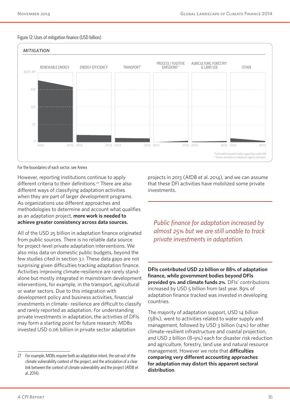#### Figure 12: Uses of mitigation finance (USD billion)



For the boundaries of each sector, see Annex

However, reporting institutions continue to apply different criteria to their definitions.<sup>27</sup> There are also different ways of classifying adaptation activities when they are part of larger development programs. As organizations use different approaches and methodologies to determine and account what qualifies as an adaptation project, **more work is needed to achieve greater consistency across data sources.**

All of the USD 25 billion in adaptation finance originated from public sources. There is no reliable data source for project-level private adaptation interventions. We also miss data on domestic public budgets, beyond the few studies cited in section 3.1. These data gaps are not surprising given difficulties tracking adaptation finance. Activities improving climate-resilience are rarely standalone but mostly integrated in mainstream development interventions, for example, in the transport, agricultural or water sectors. Due to this integration with development policy and business activities, financial investments in climate- resilience are difficult to classify and rarely reported as adaptation. For understanding private investments in adaptation, the activities of DFIs may form a starting point for future research: MDBs invested USD 0.06 billion in private sector adaptation

projects in 2013 (AfDB et al. 2014), and we can assume that these DFI activities have mobilized some private investments.

*Public finance for adaptation increased by almost 25% but we are still unable to track private investments in adaptation.*

**DFIs contributed USD 22 billion or 88% of adaptation finance, while government bodies beyond DFIs provided 9% and climate funds 2%**. DFIs' contributions increased by USD 5 billion from last year. 89% of adaptation finance tracked was invested in developing countries.

The majority of adaptation support, USD 14 billion (58%), went to activities related to water supply and management, followed by USD 3 billion (14%) for other climate-resilient infrastructure and coastal projection, and USD 2 billion (8-9%) each for disaster risk reduction and agriculture, forestry, land use and natural resource management. However we note that **difficulties comparing very different accounting approaches for adaptation may distort this apparent sectoral distribution**.

<sup>27</sup> For example, MDBs require both an adaptation intent, the set-out of the climate vulnerability context of the project, and the articulation of a clear link between the context of climate vulnerability and the project (AfDB et al. 2014).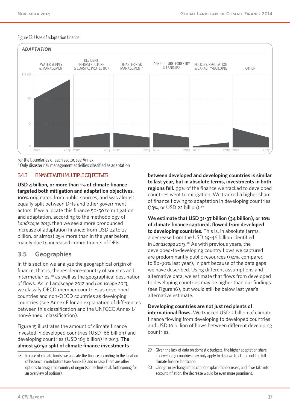#### Figure 13: Uses of adaptation finance



For the boundaries of each sector, see Annex

\* Only disaster risk management activities classified as adaptation

#### **3.4.3 FINANCE WITH MULTIPLE OBJECTIVES**

#### **USD 4 billion, or more than 1% of climate finance targeted both mitigation and adaptation objectives**.

100% originated from public sources, and was almost equally split between DFIs and other government actors. If we allocate this finance 50-50 to mitigation and adaptation, according to the methodology of *Landscape 2013*, then we see a more pronounced increase of adaptation finance: from USD 22 to 27 billion, or almost 25% more than in the year before, mainly due to increased commitments of DFIs.

#### **3.5 Geographies**

In this section we analyze the geographical origin of finance, that is, the residence-country of sources and intermediaries, $28$  as well as the geographical destination of flows. As in Landscape 2012 and *Landscape 2013*, we classify OECD member countries as developed countries and non-OECD countries as developing countries (see Annex F for an explanation of differences between this classification and the UNFCCC Annex I/ non-Annex I classification).

Figure 15 illustrates the amount of climate finance invested in developed countries (USD 166 billion) and developing countries (USD 165 billion) in 2013. **The almost 50-50 split of climate finance investments** 

**between developed and developing countries is similar to last year, but in absolute terms, investments in both regions fell.** 99% of the finance we tracked to developed countries went to mitigation. We tracked a higher share of finance flowing to adaptation in developing countries (13%, or USD 22 billion).29

**We estimate that USD 31-37 billion (34 billion), or 10% of climate finance captured, flowed from developed to developing countries.** This is, in absolute terms, a decrease from the USD 39-46 billion identified in *Landscape 2013.*30 As with previous years, the developed-to-developing country flows we captured are predominantly public resources (94%, compared to 80-90% last year), in part because of the data gaps we have described. Using different assumptions and alternative data, we estimate that flows from developed to developing countries may be higher than our findings (see Figure 16), but would still be below last year's alternative estimate.

#### **Developing countries are not just recipients of**

**international flows.** We tracked USD 2 billion of climate finance flowing from developing to developed countries and USD 10 billion of flows between different developing countries.

<sup>28</sup> In case of climate funds, we allocate the finance according to the location of historical contributors (see Annex B), and in case There are other options to assign the country of origin (see Jachnik et al. forthcoming for an overview of options).

<sup>29</sup> Given the lack of data on domestic budgets, the higher adaptation share in developing countries may only apply to data we track and not the full climate finance landscape.

<sup>30</sup> Change in exchange rates cannot explain the decrease, and if we take into account inflation, the decrease would be even more prominent.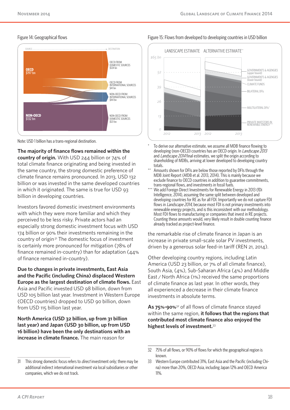# **OECD** \$197 bn **NON-OECD** \$132 bn OECD FROM DOMESTIC SOURCES **\$124** br OECD FROM INTERNATIONAL SOURCES \$41 bn NON-OECD FROM INTERNATIONAL SOURCES \$44 bn NON-OECD FROM DOMESTIC SOURCES \$121 bn SOURCE DESTINATION

#### Figure 14: Geographical flows



**The majority of finance flows remained within the country of origin.** With USD 244 billion or 74% of total climate finance originating and being invested in the same country, the strong domestic preference of climate finance remains pronounced. In 2013, USD 132 billion or was invested in the same developed countries in which it originated. The same is true for USD 93 billion in developing countries.

Investors favored domestic investment environments with which they were more familiar and which they perceived to be less risky. Private actors had an especially strong domestic investment focus with USD 174 billion or 90% their investments remaining in the country of origin<sup>31</sup> The domestic focus of investment is certainly more pronounced for mitigation (78% of finance remained in-country) than for adaptation (44% of finance remained in-country).

**Due to changes in private investments, East Asia and the Pacific (including China) displaced Western Europe as the largest destination of climate flows.** East Asia and Pacific invested USD 98 billion, down from USD 105 billion last year. Investment in Western Europe (OECD countries) dropped to USD 90 billion, down from USD 115 billion last year.

**North America (USD 32 billion, up from 31 billion last year) and Japan (USD 30 billion, up from USD 16 billion) have been the only destinations with an increase in climate finance.** The main reason for





- To derive our alternative estimate, we assume all MDB finance flowing to developing (non-OECD) countries has an OECD origin. In *Landscape 2013* and *Landscape 2014* final estimates, we split the origin according to shareholding of MDBs, arriving at lower developed to developing country totals.
- Amounts shown for DFIs are below those reported by DFIs through the MDB Joint Report (AfDB et al. 2013, 2014). This is mainly because we exclude finance to OECD countries in addition to guarantee commitments, trans-regional flows, and investments in fossil fuels.
- We add Foreign Direct Investments for Renewable Energy in 2013 (fDi Intelligence, 2014), assuming the same split between developed and developing countries for RE as for all FDI. Importantly we do not capture FDI flows in *Landscape 2014*, because most FDI is not primary investments into renewable energy projects, and is this inconsistent with our methodology. Most FDI flows to manufacturing or companies that invest in RE projects. Counting these amounts would, very likely result in double counting finance already tracked as project-level finance.

the remarkable rise of climate finance in Japan is an increase in private small-scale solar PV investments, driven by a generous solar feed-in tariff (REN 21, 2014).

Other developing country regions, including Latin America (USD 23 billion, or 7% of all climate finance), South Asia, (4%), Sub-Saharan Africa (4%) and Middle East / North Africa (1%) received the same proportions of climate finance as last year. In other words, they all experienced a decrease in their climate finance investments in absolute terms.

**As 75%-90%**32 of all flows of climate finance stayed within the same region, **it follows that the regions that contributed most climate finance also enjoyed the highest levels of investment.**<sup>33</sup>

<sup>31</sup> This strong domestic focus refers to *direct* investment only; there may be additional indirect international investment via local subsidiaries or other companies, which we do not track.

<sup>32</sup> 75% of all flows, or 90% of flows for which the geographical region is known.

<sup>33</sup> Western Europe contributed 31%, East Asia and the Pacific (including China) more than 20%, OECD Asia, including Japan 12% and OECD America 11%.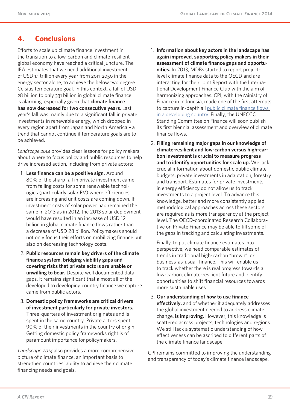# **4. Conclusions**

Efforts to scale up climate finance investment in the transition to a low-carbon and climate-resilient global economy have reached a critical juncture. The IEA estimates that we need additional investment of USD 1.1 trillion every year from 2011-2050 in the energy sector alone, to achieve the below two degree Celsius temperature goal. In this context, a fall of USD 28 billion to only 331 billion in global climate finance is alarming, especially given that **climate finance has now decreased for two consecutive years**. Last year's fall was mainly due to a significant fall in private investments in renewable energy, which dropped in every region apart from Japan and North America – a trend that cannot continue if temperature goals are to be achieved.

*Landscape 2014* provides clear lessons for policy makers about where to focus policy and public resources to help drive increased action, including from private actors:

- 1. **Less finance can be a positive sign.** Around 80% of the sharp fall in private investment came from falling costs for some renewable technologies (particularly solar PV) where efficiencies are increasing and unit costs are coming down. If investment costs of solar power had remained the same in 2013 as in 2012, the 2013 solar deployment would have resulted in an increase of USD 12 billion in global climate finance flows rather than a decrease of USD 28 billion. Policymakers should not only focus their efforts on mobilizing finance but also on decreasing technology costs.
- 2. **Public resources remain key drivers of the climate finance system, bridging viability gaps and covering risks that private actors are unable or unwilling to bear.** Despite well documented data gaps, it remains significant that almost all of the developed to developing country finance we capture came from public actors.
- 3. **Domestic policy frameworks are critical drivers of investment particularly for private investors.**  Three-quarters of investment originates and is spent in the same country. Private actors spent 90% of their investments in the country of origin. Getting domestic policy frameworks right is of paramount importance for policymakers.

Landscape 2014 also provides a more comprehensive picture of climate finance, an important basis to strengthen countries' ability to achieve their climate financing needs and goals.

- 1. **Information about key actors in the landscape has again improved, supporting policy makers in their assessment of climate finance gaps and opportunities.** In 2013, MDBs started to report projectlevel climate finance data to the OECD and are interacting for their Joint Report with the International Development Finance Club with the aim of harmonizing approaches. CPI, with the Ministry of Finance in Indonesia, made one of the first attempts to capture in-depth all public climate finance flows in a developing country. Finally, the UNFCCC Standing Committee on Finance will soon publish its first biennial assessment and overview of climate finance flows.
- 2. **Filling remaining major gaps in our knowledge of climate-resilient and low-carbon versus high-carbon investment is crucial to measure progress and to identify opportunities for scale up.** We lack crucial information about domestic public climate budgets, private investments in adaptation, forestry and transport. Estimates for private investments in energy efficiency do not allow us to track investments to a project level. To advance this knowledge, better and more consistently applied methodological approaches across these sectors are required as is more transparency at the project level. The OECD-coordinated Research Collaborative on Private Finance may be able to fill some of the gaps in tracking and calculating investments.

Finally, to put climate finance estimates into perspective, we need comparable estimates of trends in traditional high-carbon "brown", or business-as-usual, finance. This will enable us to track whether there is real progress towards a low-carbon, climate-resilient future and identify opportunities to shift financial resources towards more sustainable uses.

3. **Our understanding of how to use finance effectively,** and of whether it adequately addresses the global investment needed to address climate change, **is improving**. However, this knowledge is scattered across projects, technologies and regions. We still lack a systematic understanding of how effectiveness can be ascribed to different parts of the climate finance landscape.

CPI remains committed to improving the understanding and transparency of today's climate finance landscape.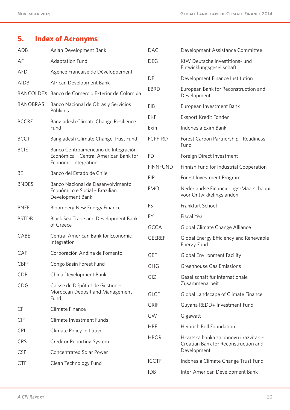# **5. Index of Acronyms**

| ADB             | Asian Development Bank                                                                  | <b>DAC</b>      | Development Assistance Committee                                              |
|-----------------|-----------------------------------------------------------------------------------------|-----------------|-------------------------------------------------------------------------------|
| AF              | <b>Adaptation Fund</b>                                                                  | <b>DEG</b>      | KfW Deutsche Investitions- und<br>Entwicklungsgesellschaft                    |
| <b>AFD</b>      | Agence Française de Développement                                                       |                 |                                                                               |
| AfDB            | African Development Bank                                                                | DFI             | Development Finance Institution                                               |
|                 | BANCOLDEX Banco de Comercio Exterior de Colombia                                        | <b>EBRD</b>     | European Bank for Reconstruction and<br>Development                           |
| <b>BANOBRAS</b> | Banco Nacional de Obras y Servicios<br>Públicos                                         | EIB             | European Investment Bank                                                      |
| <b>BCCRF</b>    | Bangladesh Climate Change Resilience                                                    | <b>EKF</b>      | Eksport Kredit Fonden                                                         |
|                 | Fund                                                                                    | Exim            | Indonesia Exim Bank                                                           |
| <b>BCCT</b>     | Bangladesh Climate Change Trust Fund                                                    | FCPF-RD         | Forest Carbon Partnership - Readiness<br>Fund                                 |
| <b>BCIE</b>     | Banco Centroamericano de Integración<br>Económica - Central American Bank for           | <b>FDI</b>      | Foreign Direct Investment                                                     |
|                 | Economic Integration                                                                    | <b>FINNFUND</b> | Finnish Fund for Industrial Cooperation                                       |
| <b>BE</b>       | Banco del Estado de Chile                                                               | <b>FIP</b>      | Forest Investment Program                                                     |
| <b>BNDES</b>    | Banco Nacional de Desenvolvimento<br>Econômico e Social - Brazilian<br>Development Bank | <b>FMO</b>      | Nederlandse Financierings-Maatschappij<br>voor Ontwikkelingslanden            |
| <b>BNEF</b>     | <b>Bloomberg New Energy Finance</b>                                                     | <b>FS</b>       | Frankfurt School                                                              |
| <b>BSTDB</b>    | Black Sea Trade and Development Bank                                                    | <b>FY</b>       | <b>Fiscal Year</b>                                                            |
|                 | of Greece                                                                               | <b>GCCA</b>     | Global Climate Change Alliance                                                |
| CABEI           | <b>Central American Bank for Economic</b><br>Integration                                | <b>GEEREF</b>   | Global Energy Efficiency and Renewable<br>Energy Fund                         |
| CAF             | Corporación Andina de Fomento                                                           | <b>GEF</b>      | <b>Global Environment Facility</b>                                            |
| <b>CBFF</b>     | Congo Basin Forest Fund                                                                 | <b>GHG</b>      | <b>Greenhouse Gas Emissions</b>                                               |
| <b>CDB</b>      | China Development Bank                                                                  | GIZ             | Gesellschaft für internationale                                               |
| <b>CDG</b>      | Caisse de Dépôt et de Gestion -                                                         |                 | Zusammenarbeit                                                                |
|                 | Moroccan Deposit and Management<br>Fund                                                 | <b>GLCF</b>     | Global Landscape of Climate Finance                                           |
| CF              | Climate Finance                                                                         | <b>GRIF</b>     | Guyana REDD+ Investment Fund                                                  |
| <b>CIF</b>      | Climate Investment Funds                                                                | GW              | Gigawatt                                                                      |
| <b>CPI</b>      | Climate Policy Initiative                                                               | <b>HBF</b>      | Heinrich Böll Foundation                                                      |
| <b>CRS</b>      | <b>Creditor Reporting System</b>                                                        | <b>HBOR</b>     | Hrvatska banka za obnovu i razvitak -<br>Croatian Bank for Reconstruction and |
| <b>CSP</b>      | <b>Concentrated Solar Power</b>                                                         |                 | Development                                                                   |
| <b>CTF</b>      | Clean Technology Fund                                                                   | <b>ICCTF</b>    | Indonesia Climate Change Trust Fund                                           |
|                 |                                                                                         | <b>IDB</b>      | Inter-American Development Bank                                               |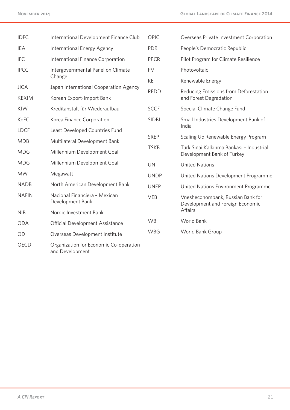| <b>IDFC</b>  | International Development Finance Club            | OPIC         | Overseas Private Investment Corporation                                |
|--------------|---------------------------------------------------|--------------|------------------------------------------------------------------------|
| <b>IEA</b>   | International Energy Agency                       | <b>PDR</b>   | People's Democratic Republic                                           |
| <b>IFC</b>   | International Finance Corporation                 | <b>PPCR</b>  | Pilot Program for Climate Resilience                                   |
| <b>IPCC</b>  | Intergovernmental Panel on Climate                | PV           | Photovoltaic                                                           |
|              | Change                                            | <b>RE</b>    | Renewable Energy                                                       |
| <b>JICA</b>  | Japan International Cooperation Agency            | <b>REDD</b>  | Reducing Emissions from Deforestation                                  |
| <b>KEXIM</b> | Korean Export-Import Bank                         |              | and Forest Degradation                                                 |
| <b>KfW</b>   | Kreditanstalt für Wiederaufbau                    | <b>SCCF</b>  | Special Climate Change Fund                                            |
| KoFC         | Korea Finance Corporation                         | <b>SIDBI</b> | Small Industries Development Bank of                                   |
| <b>LDCF</b>  | Least Developed Countries Fund                    |              | India                                                                  |
| <b>MDB</b>   | Multilateral Development Bank                     | SREP         | Scaling Up Renewable Energy Program                                    |
| <b>MDG</b>   | Millennium Development Goal                       | <b>TSKB</b>  | Türk Sınai Kalkınma Bankası - Industrial<br>Development Bank of Turkey |
| <b>MDG</b>   | Millennium Development Goal                       | <b>UN</b>    | <b>United Nations</b>                                                  |
| <b>MW</b>    | Megawatt                                          | <b>UNDP</b>  | United Nations Development Programme                                   |
| <b>NADB</b>  | North American Development Bank                   | <b>UNEP</b>  | United Nations Environment Programme                                   |
| <b>NAFIN</b> | Nacional Financiera - Mexican<br>Development Bank | VEB          | Vnesheconombank, Russian Bank for<br>Development and Foreign Economic  |
| <b>NIB</b>   | Nordic Investment Bank                            |              | Affairs                                                                |
| <b>ODA</b>   | <b>Official Development Assistance</b>            | <b>WB</b>    | World Bank                                                             |
| ODI          | Overseas Development Institute                    | WBG          | World Bank Group                                                       |
| <b>OECD</b>  | Organization for Economic Co-operation            |              |                                                                        |

and Development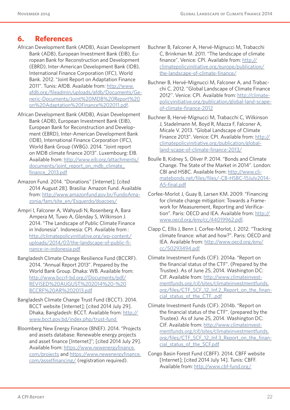# **6. References**

- African Development Bank (AfDB), Asian Development Bank (ADB), European Investment Bank (EIB), European Bank for Reconstruction and Development (EBRD), Inter-American Development Bank (IDB), International Finance Corporation (IFC), World Bank. 2012. "Joint Report on Adaptation Finance 2011". Tunis: AfDB. Available from: http://www. afdb.org/fileadmin/uploads/afdb/Documents/Generic-Documents/Joint%20MDB%20Report%20 on%20Adaptation%20Finance%202011.pdf.
- African Development Bank (AfDB), Asian Development Bank (ADB), European Investment Bank (EIB), European Bank for Reconstruction and Development (EBRD), Inter-American Development Bank (IDB), International Finance Corporation (IFC), World Bank Group (WBG). 2014. "Joint report on MDB climate finance 2013". Luxembourg: EIB. Available from: http://www.eib.org/attachments/ documents/joint\_report\_on\_mdb\_climate\_ finance\_2013.pdf
- Amazon Fund. 2014. "Donations" [Internet]; [cited 2014 August 28]. Brasilia: Amazon Fund. Available from: http://www.amazonfund.gov.br/FundoAmazonia/fam/site\_en/Esquerdo/doacoes/
- Ampri I, Falconer A, Wahyudi N, Rosenberg A, Bara Ampera M, Tuwo A, Glenday S, Wilkinson J. 2014. "The Landscape of Public Climate Finance in Indonesia". Indonesia: CPI. Available from : http://climatepolicyinitiative.org/wp-content/ uploads/2014/07/the-landscape-of-public-finance-in-indonesia.pdf
- Bangladesh Climate Change Resilience Fund (BCCRF). 2014. "Annual Report 2013". Prepared by the World Bank Group. Dhaka: WB. Available from: http://www.bccrf-bd.org//Documents/pdf/ REVISED%20AUGUST%202014%20-%20 BCCRF%20AR%202013.pdf
- Bangladesh Climate Change Trust Fund (BCCT). 2014. BCCT website [Internet]; [cited 2014 July 29]. Dhaka, Bangladesh: BCCT. Available from: http:// www.bcct.gov.bd/index.php/trust-fund
- Bloomberg New Energy Finance (BNEF). 2014. "Projects and assets database: Renewable energy projects and asset finance [Internet]"; [cited 2014 July 29]. Available from: https://www.newenergyfinance. com/projects and https://www.newenergyfinance. com/assetfinancing/ (registration required).
- Buchner B, Falconer A, Hervé-Mignucci M, Trabacchi C, Brinkman M. 2011. "The landscape of climate finance". Venice: CPI. Available from: http:// climatepolicyinitiative.org/europe/publication/ the-landscape-of-climate-finance/
- Buchner B, Hervé-Mignucci M, Falconer A, and Trabacchi C, 2012. ''Global Landscape of Climate Finance 2012''. Venice: CPI. Available from: http://climatepolicyinitiative.org/publication/global-land-scapeof-climate-finance-2012
- Buchner B, Hervé-Mignucci M, Trabacchi C, Wilkinson J, Stadelmann M, Boyd R, Mazza F, Falconer A, Micale V. 2013. "Global Landscape of Climate Finance 2013". Venice: CPI. Available from: http:// climatepolicyinitiative.org/publication/globalland-scape-of-climate-finance-2013/
- Boulle B, Kidney S, Oliver P. 2014. "Bonds and Climate Change. The State of the Market in 2014". London: CBI and HSBC. Available from: http://www.climatebonds.net/files/files/-CB-HSBC-15July2014- A5-final.pdf
- Corfee-Morlot J, Guay B, Larsen KM. 2009. "Financing for climate change mitigation: Towards a Framework for Measurement, Reporting and Verification". Paris: OECD and IEA. Available from: http:// www.oecd.org/env/cc/44019962.pdf.
- Clapp C, Ellis J, Benn J, Corfee-Morlot, J. 2012. "Tracking climate finance: what and how?". Paris: OECD and IEA. Available from: http://www.oecd.org/env/ cc/50293494.pdf
- Climate Investment Funds (CIF). 2014a. "Report on the financial status of the CTF". (Prepared by the Trustee). As of June 25, 2014. Washington DC: CIF. Available from: http://www.climateinvestmentfunds.org/cif/sites/climateinvestmentfunds. org/files/CTF\_SCF\_12\_Inf.2\_Report\_on\_the\_financial\_status\_of\_the\_CTF...pdf
- Climate Investment Funds (CIF). 2014b. "Report on the financial status of the CTF". (prepared by the Trustee). As of June 25, 2014. Washington DC: CIF. Available from: http://www.climateinvestmentfunds.org/cif/sites/climateinvestmentfunds. org/files/CTF\_SCF\_12\_Inf.3\_Report\_on\_the\_financial\_status\_of\_the\_SCF.pdf
- Congo Basin Forest Fund (CBFF). 2014. CBFF website [Internet]; [cited 2014 July 14]. Tunis: CBFF. Available from: http://www.cbf-fund.org/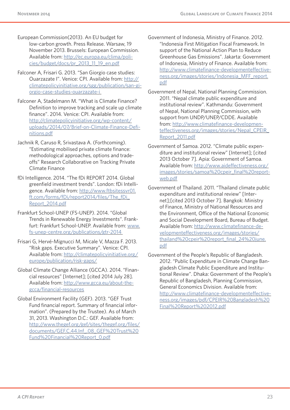European Commission(2013). An EU budget for low-carbon growth. Press Release. Warsaw, 19 November 2013. Brussels: European Commission. Available from: http://ec.europa.eu/clima/policies/budget/docs/pr\_2013\_11\_19\_en.pdf

- Falconer A, Frisari G. 2013. "San Giorgio case studies: Ouarzazate I". Venice: CPI. Available from: http:// climatepolicyinitiative.org/sgg/publication/san-giorgio-case-studies-ouarzazate-i
- Falconer A, Stadelmann M. "What is Climate Finance? Definition to improve tracking and scale up climate finance". 2014. Venice: CPI. Available from: http://climatepolicyinitiative.org/wp-content/ uploads/2014/07/Brief-on-Climate-Finance-Definitions.pdf
- Jachnik R, Caruso R, Srivastava A. (Forthcoming). "Estimating mobilised private climate finance: methodological approaches, options and tradeoffs" Research Collaborative on Tracking Private Climate Finance
- fDi Intelligence. 2014. "The fDi REPORT 2014. Global greenfield investment trends". London: fDi Intelligence. Available from: http://www.ftbsitessvr01. ft.com/forms/fDi/report2014/files/The\_fDi\_ Report\_2014.pdf
- Frankfurt School-UNEP (FS-UNEP). 2014. "Global Trends in Renewable Energy Investments". Frankfurt: Frankfurt School-UNEP. Available from: www. fs-unep-centre.org/publications/gtr-2014
- Frisari G, Hervé-Mignucci M, Micale V, Mazza F. 2013. "Risk gaps. Executive Summary". Venice: CPI. Available from: http://climatepolicyinitiative.org/ europe/publication/risk-gaps/
- Global Climate Change Alliance (GCCA). 2014. "Financial resources" [Internet]; [cited 2014 July 28]. Available from: http://www.gcca.eu/about-thegcca/financial-resources

Global Environment Facility (GEF). 2013. "GEF Trust Fund financial report. Summary of financial information". (Prepared by the Trustee). As of March 31, 2013. Washington D.C.: GEF. Available from: http://www.thegef.org/gef/sites/thegef.org/files/ documents/GEF.C.44.Inf\_.08\_GEF%20Trust%20 Fund%20Financial%20Report\_0.pdf

- Government of Indonesia, Ministry of Finance. 2012. "Indonesia First Mitigation Fiscal Framework. In support of the National Action Plan to Reduce Greenhouse Gas Emissions". Jakarta: Government of Indonesia, Ministry of Finance. Available from: http://www.climatefinance-developmenteffectiveness.org/images/stories/Indonesia\_MFF\_report. pdf
- Government of Nepal, National Planning Commission. 2011. "Nepal climate public expenditure and institutional review". Kathmandu: Government of Nepal, National Planning Commission, with support from UNDP/UNEP/CDDE. Available from: http://www.climatefinance-developmenteffectiveness.org/images/stories/Nepal\_CPEIR\_ Report\_2011.pdf
- Government of Samoa. 2012. "Climate public expenditure and institutional review" [Internet]; [cited 2013 October 7]. Apia: Government of Samoa. Available from: http://www.aideffectiveness.org/ images/stories/samoa%20cpeir\_final%20reportweb.pdf
- Government of Thailand. 2011. "Thailand climate public expenditure and institutional review" [Internet];[cited 2013 October 7]. Bangkok: Ministry of Finance, Ministry of National Resources and the Environment, Office of the National Economic and Social Development Board, Bureau of Budget. Available from: http://www.climatefinance-developmenteffectiveness.org/images/stories/ thailand%20cpeir%20report\_final\_24%20june. pdf
- Government of the People's Republic of Bangladesh. 2012. "Public Expenditure in Climate Change Bangladesh Climate Public Expenditure and Institutional Review". Dhaka: Government of the People's Republic of Bangladesh, Planning Commission, General Economics Division. Available from: http://www.climatefinance-developmenteffectiveness.org/images/pdf/CPEIR%20Bangladesh%20 Final%20Report%202012.pdf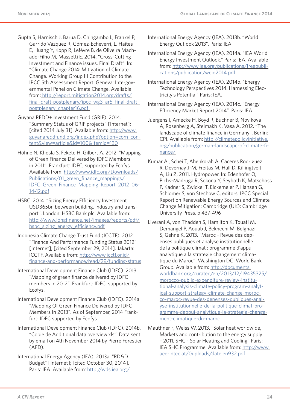- Gupta S, Harnisch J, Barua D, Chingambo L, Frankel P, Garrido Vázquez R, Gómez-Echeverri, L. Haites E, Huang Y, Kopp R, Lefèvre B, de Oliveira Machado-Filho M, Massetti E. 2014. "Cross-Cutting Investment and Finance issues. Final Draft". In: "Climate Change 2014: Mitigation of Climate Change. Working Group III Contribution to the IPCC 5th Assessment Report. Geneva: Intergovernmental Panel on Climate Change. Available from: http://report.mitigation2014.org/drafts/ final-draft-postplenary/ipcc\_wg3\_ar5\_final-draft\_ postplenary\_chapter16.pdf
- Guyana REDD+ Investment Fund (GRIF). 2014. "Summary Status of GRIF projects" [Internet]; [cited 2014 July 31]. Available from: http://www. guyanareddfund.org/index.php?option=com\_content&view=article&id=100&Itemid=130
- Höhne N, Khosla S, Fekete H, Gilbert A. 2012. "Mapping of Green Finance Delivered by IDFC Members in 2011". Frankfurt: IDFC, supported by Ecofys. Available from: http://www.idfc.org/Downloads/ Publications/01\_green\_finance\_mappings/ IDFC Green Finance Mapping Report 2012 06-14-12.pdf
- HSBC. 2014. "Sizing Energy Efficiency Investment. USD365bn between building, industry and transport". London: HSBC Bank plc. Available from: http://www.longfinance.net/images/reports/pdf/ hsbc\_sizing\_energy\_efficiency.pdf
- Indonesia Climate Change Trust Fund (ICCTF). 2012. "Finance And Performance Funding Status 2012" [Internet]; [cited September 29, 2014]. Jakarta: ICCTF. Available from: http://www.icctf.or.id/ finance-and-performance/read/29/funding-status
- International Development Finance Club (IDFC). 2013. "Mapping of green finance delivered by IDFC members in 2012". Frankfurt: IDFC, supported by Ecofys.
- International Development Finance Club (IDFC). 2014a. "Mapping Of Green Finance Delivered by IDFC Members In 2013". As of September, 2014 Frankfurt: IDFC supported by Ecofys.
- International Development Finance Club (IDFC). 2014b. "Copie de Additional data overview.xls". Data sent by email on 4th November 2014 by Pierre Forestier (AFD).
- International Energy Agency (IEA). 2013a. "RD&D Budget" [Internet]; [cited October 30, 2014]. Paris: IEA. Available from: http://wds.iea.org/
- International Energy Agency (IEA). 2013b. "World Energy Outlook 2013". Paris: IEA.
- International Energy Agency (IEA). 2014a. "IEA World Energy Investment Outlook." Paris: IEA. Available from: http://www.iea.org/publications/freepublications/publication/weio2014.pdf
- International Energy Agency (IEA). 2014b. "Energy Technology Perspectives 2014. Harnessing Electricity's Potential" Paris: IEA.
- International Energy Agency (IEA). 2014c. "Energy Efficiency Market Report 2014". Paris: IEA.
- Juergens I, Amecke H, Boyd R, Buchner B, Novikova A, Rosenberg A, Stelmakh K, Vasa A. 2012. "The landscape of climate finance in Germany". Berlin: CPI. Available from: http://climatepolicyinitiative. org/publication/german-landscape-of-climate-finance/
- Kumar A., Schei T, Ahenkorah A, Caceres Rodriguez R, Devernay J-M, Freitas M, Hall D, Killingtveit A, Liu Z, 2011. Hydropower. In: Edenhofer O, Pichs-Madruga R, Sokona Y, Seyboth K, Matschoss P, Kadner S, Zwickel T, Eickemeier P, Hansen G, Schlomer S, von Stechow C, editors. IPCC Special Report on Renewable Energy Sources and Climate Change Mitigation: Cambridge (UK): Cambridge University Press. p 437-496
- Liverani A, von Thadden S, Hamilton K, Touati M, Demangel P, Aouab J, Bekhechi M, Belghazi S, Gehne K. 2013. "Maroc - Revue des depenses publiques et analyse institutionnelle de la politique climat : programme d'appui analytique a la strategie changement climatique du Maroc". Washington DC: World Bank Group. Available from: http://documents. worldbank.org/curated/en/2013/12/19435325/ morocco-public-expenditure-review-institutional-analysis-climate-policy-program-analytical-support-strategy-climate-change-morocco-maroc-revue-des-depenses-publiques-analyse-institutionnelle-de-la-politique-climat-programme-dappui-analytique-la-strategie-changement-climatique-du-maroc
- Mauthner F, Weiss W. 2013, "Solar heat worldwide, Markets and contribution to the energy supply – 2011, SHC - Solar Heating and Cooling" Paris: IEA SHC Programme. Available from: http://www. aee-intec.at/0uploads/dateien932.pdf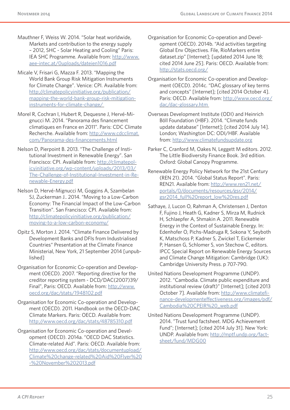- Mauthner F, Weiss W. 2014. "Solar heat worldwide, Markets and contribution to the energy supply – 2012, SHC - Solar Heating and Cooling" Paris: IEA SHC Programme. Available from: http://www. aee-intec.at/0uploads/dateien1016.pdf
- Micale V, Frisari G, Mazza F. 2013. "Mapping the World Bank Group Risk Mitigation Instruments for Climate Change". Venice: CPI. Available from: http://climatepolicyinitiative.org/publication/ mapping-the-world-bank-group-risk-mitigationinstruments-for-climate-change/
- Morel R, Cochran I, Hubert R, Dequesne J, Hervé-Mignucci M. 2014. "Panorama des financement climatiques en France en 2011". Paris: CDC Climate Recherche. Available from: http://www.cdcclimat. com/Panorama-des-financements.html
- Nelson D, Pierpoint B. 2013. "The Challenge of Institutional Investment in Renewable Energy". San Francisco: CPI. Available from: http://climatepolicyinitiative.org/wp-content/uploads/2013/03/ The-Challenge-of-Institutional-Investment-in-Renewable-Energy.pdf
- Nelson D, Hervé-Mignucci M, Goggins A, Szambelan SJ, Zuckerman J.. 2014. "Moving to a Low-Carbon Economy: The Financial Impact of the Low-Carbon Transition". San Francisco: CPI. Available from: http://climatepolicyinitiative.org/publication/ moving-to-a-low-carbon-economy/
- Opitz S, Morton J. 2014. "Climate Finance Delivered by Development Banks and DFIs from Industrialised Countries" Presentation at the Climate Finance Ministerial, New York, 21 September 2014 [unpublished]
- Organisation for Economic Co-operation and Development (OECD). 2007. "Reporting directive for the creditor reporting system - DCD/DAC(2007)39/ Final", Paris: OECD. Available from: http://www. oecd.org/dac/stats/1948102.pdf
- Organisation for Economic Co-operation and Development (OECD). 2011. Handbook on the OECD-DAC Climate Markers. Paris: OECD. Available from: http://www.oecd.org/dac/stats/48785310.pdf
- Organisation for Economic Co-operation and Development (OECD). 2014a. "OECD DAC Statistics. Climate-related Aid". Paris: OECD. Available from: http://www.oecd.org/dac/stats/documentupload/ Climate%20change-related%20Aid%20Flyer%20 -%20November%202013.pdf
- Organisation for Economic Co-operation and Development (OECD). 2014b. "Aid activities targeting Global Env Objectives. File, RioMarkers entire dataset.zip" [Internet]; [updated 2014 June 18; cited 2014 June 25]. Paris: OECD. Available from: http://stats.oecd.org/
- Organisation for Economic Co-operation and Development (OECD). 2014c. "DAC glossary of key terms and concepts" [Internet]; [cited 2014 October 4]. Paris: OECD. Available from: http://www.oecd.org/ dac/dac-glossary.htm
- Overseas Development Institute (ODI) and Heinrich Böll Foundation (HBF). 2014. "Climate funds update database" [Internet]; [cited 2014 July 14]. London; Washington DC: ODI/HBF. Available from: http://www.climatefundsupdate.org
- Parker C, Cranford M, Oakes N, Leggett M editors. 2012. The Little Biodiversity Finance Book. 3rd edition. Oxford: Global Canopy Programme.
- Renewable Energy Policy Network for the 21st Century (REN 21). 2014. "Global Status Report". Paris: REN21. Available from: http://www.ren21.net/ portals/0/documents/resources/gsr/2014/ gsr2014\_full%20report\_low%20res.pdf
- Sathaye, J, Lucon O, Rahman A, Christensen J, Denton F, Fujino J, Heath G, Kadner S, Mirza M, Rudnick H, Schlaepfer A, Shmakin A. 2011. Renewable Energy in the Context of Sustainable Energy. In: Edenhofer O, Pichs-Madruga R, Sokona Y, Seyboth K, Matschoss P, Kadner S, Zwickel T, Eickemeier P, Hansen G, Schlomer S, von Stechow C, editors. IPCC Special Report on Renewable Energy Sources and Climate Change Mitigation: Cambridge (UK): Cambridge University Press. p 707-790.
- United Nations Development Programme (UNDP). 2012. "Cambodia. Climate public expenditure and institutional review (draft)" [Internet]; [cited 2013 October 7]. Available from: http://www.climatefinance-developmenteffectiveness.org/images/pdf/ Cambodia%20CPEIR%20\_web.pdf
- United Nations Development Programme (UNDP). 2014. "Trust fund factsheet. MDG Achievement Fund"; [Internet]; [cited 2014 July 31]. New York: UNDP. Available from: http://mptf.undp.org/factsheet/fund/MDG00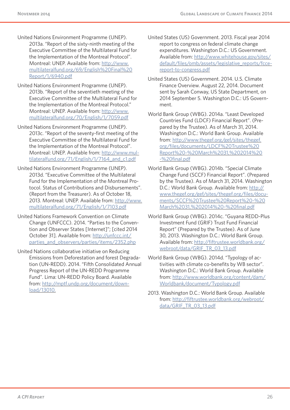- United Nations Environment Programme (UNEP). 2013a. "Report of the sixty-ninth meeting of the Executive Committee of the Multilateral Fund for the Implementation of the Montreal Protocol". Montreal: UNEP. Available from: http://www. multilateralfund.org/69/English%20Final%20 Report/1/6940.pdf
- United Nations Environment Programme (UNEP). 2013b. "Report of the seventieth meeting of the Executive Committee of the Multilateral Fund for the Implementation of the Montreal Protocol." Montreal: UNEP. Available from: http://www. multilateralfund.org/70/English/1/7059.pdf
- United Nations Environment Programme (UNEP). 2013c. "Report of the seventy-first meeting of the Executive Committee of the Multilateral Fund for the Implementation of the Montreal Protocol". Montreal: UNEP. Available from: http://www.multilateralfund.org/71/English/1/7164\_and\_c1.pdf
- United Nations Environment Programme (UNEP). 2013d. "Executive Committee of the Multilateral Fund for the Implementation of the Montreal Protocol. Status of Contributions and Disbursements". (Report from the Treasurer). As of October 18, 2013. Montreal: UNEP. Available from: http://www. multilateralfund.org/71/English/1/7103.pdf
- United Nations Framework Convention on Climate Change (UNFCCC). 2014. "Parties to the Convention and Observer States [Internet]"; [cited 2014 October 31]. Available from: http://unfccc.int/ parties\_and\_observers/parties/items/2352.php
- United Nations collaborative initiative on Reducing Emissions from Deforestation and forest Degradation (UN-REDD). 2014. "Fifth Consolidated Annual Progress Report of the UN-REDD Programme Fund". Lima: UN-REDD Policy Board. Available from: http://mptf.undp.org/document/download/13010.
- United States (US) Government. 2013. Fiscal year 2014 report to congress on federal climate change expenditures. Washington D.C.: US Government. Available from: http://www.whitehouse.gov/sites/ default/files/omb/assets/legislative\_reports/fccereport-to-congress.pdf
- United States (US) Government. 2014. U.S. Climate Finance Overview. August 22, 2014. Document sent by Sarah Conway, US State Department, on 2014 September 5. Washington D.C.: US Government.
- World Bank Group (WBG). 2014a. "Least Developed Countries Fund (LDCF) Financial Report". (Prepared by the Trustee). As of March 31, 2014. Washington D.C.: World Bank Group. Available from: http://www.thegef.org/gef/sites/thegef. org/files/documents/LDCF%20Trustee%20 Report%20-%20March%2031,%202014%20 -%20final.pdf
- World Bank Group (WBG). 2014b. "Special Climate Change Fund (SCCF) Financial Report". (Prepared by the Trustee). As of March 31, 2014. Washington D.C.: World Bank Group. Available from: http:// www.thegef.org/gef/sites/thegef.org/files/documents/SCCF%20Trustee%20Report%20-%20 March%2031,%202014%20-%20final.pdf
- World Bank Group (WBG). 2014c. "Guyana REDD-Plus Investment Fund (GRIF) Trust Fund Financial Report" (Prepared by the Trustee). As of June 30, 2013. Washington D.C.: World Bank Group. Available from: http://fiftrustee.worldbank.org/ webroot/data/GRIF\_TR\_03\_13.pdf
- World Bank Group (WBG). 2014d. "Typology of activities with climate co-benefits by WB sector". Washington D.C.: World Bank Group. Available from: http://www.worldbank.org/content/dam/ Worldbank/document/Typology.pdf
- 2013. Washington D.C.: World Bank Group. Available from: http://fiftrustee.worldbank.org/webroot/ data/GRIF\_TR\_03\_13.pdf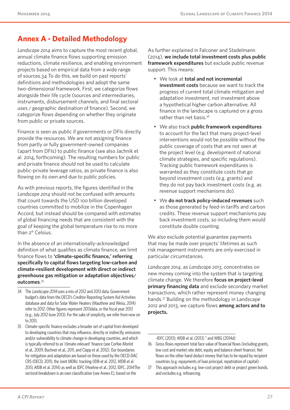# **Annex A - Detailed Methodology**

*Landscape 2014* aims to capture the most recent global, annual climate finance flows supporting emission reductions, climate resilience, and enabling environment projects based on empirical data from a wide range of sources.34 To do this, we build on past reports' definitions and methodologies and adopt the same two-dimensional framework. First, we categorize flows alongside their life cycle (sources and intermediaries, instruments, disbursement channels, and final sectoral uses / geographic destination of finance). Second, we categorize flows depending on whether they originate from public or private sources.

Finance is seen as public if governments or DFIs directly provide the resources. We are not assigning finance from partly or fully government-owned companies (apart from DFIs) to public finance (see also Jachnik et al. 2014, forthcoming). The resulting numbers for public and private finance should not be used to calculate public-private leverage ratios, as private finance is also flowing on its own and due to public policies.

As with previous reports, the figures identified in the *Landscape 2014* should not be confused with amounts that count towards the USD 100 billion developed countries committed to mobilize in the Copenhagen Accord, but instead should be compared with estimates of global financing needs that are consistent with the goal of keeping the global temperature rise to no more than 2° Celsius.

In the absence of an internationally-acknowledged definition of what qualifies as climate finance, we limit finance flows to **'climate-specific finance,' referring specifically to capital flows targeting low-carbon and climate-resilient development with direct or indirect greenhouse gas mitigation or adaptation objectives/ outcomes**. 35

- 34 The Landscape 2014 uses a mix of 2012 and 2013 data. Government budget's data from the OECD's Creditor Reporting System Aid Activities database and data for Solar Water Heaters (Mauthner and Weiss, 2014) refer to 2012. Other figures represent 2013data, or the fiscal year 2013 (e.g., July 2012-June 2013). For the sake of simplicity, we refer from now on to 2013.
- 35 Climate-specific finance excludes a broader set of capital from developed to developing countries that may influence, directly or indirectly, emissions and/or vulnerability to climate change in developing countries, and which is typically referred to as 'climate-relevant' finance (see Corfee-Morlot et al., 2009, Buchner et al., 2011, and Clapp et al. 2012). Our boundaries for mitigation and adaptation are based on those used by the OECD-DAC CRS (OECD, 2011), the Joint MDBs' tracking (IDB et al. 2012, AfDB et al. 2013, AfDB et al. 2014) as well as IDFC (Hoehne et al., 2012, IDFC, 2014The sectoral breakdown is an own classification (see Annex E), based on the

As further explained in Falconer and Stadelmann (2014), **we include total investment costs plus public framework expenditures** but exclude public revenue support. This means:

- We look at **total and not incremental investment costs** because we want to track the progress of current total climate mitigation and adaptation investment, not investment above a hypothetical higher carbon alternative. All finance in the landscape is captured on a gross rather than net basis.36
- We also track **public framework expenditures**  to account for the fact that many project-level interventions would not be possible without the public coverage of costs that are not seen at the project level (e.g. development of national climate strategies, and specific regulations). Tracking public framework expenditures is warranted as they constitute costs that go beyond investment costs (e.g. grants) and they do not pay back investment costs (e.g. as revenue support mechanisms do).
- We **do not track policy-induced revenues** such as those generated by feed-in tariffs and carbon credits. These revenue support mechanisms pay back investment costs, so including them would constitute double counting.

We also exclude potential guarantee payments that may be made over projects' lifetimes as such risk management instruments are only exercised in particular circumstances.

*Landscape 2014*, as *Landscape 2013*, concentrates on new money coming into the system that is targeting climate change. We therefore **focus on project-level primary financing data** and exclude secondary market transactions, which rather represent money changing hands.37 Building on the methodology in Landscape 2012 and 2013, we capture flows **among actors and to projects.**

<sup>-</sup>IDFC (2013); AfDB et al. (2013) " and WBG (2014d)

<sup>36</sup> Gross flows represent total face value of financial flows (including grants, low cost and market rate debt, equity and balance sheet finance). Net flows on the other hand deduct money that has to be repaid by recipient countries (e.g. repayments of loan principal, repatriation of capital).

<sup>37</sup> This approach includes e.g. low-cost project debt or project green bonds, and excludes e.g. refinancing.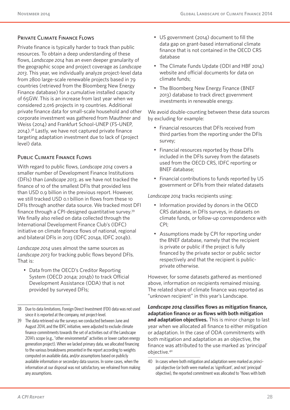#### Private Climate Finance Flows

Private finance is typically harder to track than public resources. To obtain a deep understanding of these flows, *Landscape 2014* has an even deeper granularity of the geographic scope and project coverage as *Landscape 2013*. This year, we individually analyze project-level data from 2800 large-scale renewable projects based in 79 countries (retrieved from the Bloomberg New Energy Finance database) for a cumulative installed capacity of 65GW. This is an increase from last year when we considered 2,016 projects in 19 countries. Additional private finance data for small-scale household and other corporate investment was gathered from Mauthner and Weiss (2014) and Frankfurt School-UNEP (FS-UNEP, 2014).38 Lastly, we have not captured private finance targeting adaptation investment due to lack of (project level) data.

#### Public Climate Finance Flows

With regard to public flows, *Landscape 2014* covers a smaller number of Development Finance Institutions (DFIs) than *Landscape 2013*, as we have not tracked the finance of 10 of the smallest DFIs that provided less than USD 0.9 billion in the previous report. However, we still tracked USD 0.1 billion in flows from these 10 DFIs through another data source. We tracked most DFI finance through a CPI-designed quantitative survey.39 We finally also relied on data collected through the International Development Finance Club's (IDFC) initiative on climate finance flows of national, regional and bilateral DFIs in 2013 (IDFC 2014a, IDFC 2014b).

*Landscape 2014* uses almost the same sources as *Landscape 2013* for tracking public flows beyond DFIs. That is:

• Data from the OECD's Creditor Reporting System (OECD 2014a; 2014b) to track Official Development Assistance (ODA) that is not provided by surveyed DFIs;

- US government (2014) document to fill the data gap on grant-based international climate finance that is not contained in the OECD CRS database
- The Climate Funds Update (ODI and HBF 2014) website and official documents for data on climate funds;
- The Bloomberg New Energy Finance (BNEF 2013) database to track direct government investments in renewable energy.

We avoid double-counting between these data sources by excluding for example:

- Financial resources that DFIs received from third parties from the reporting under the DFIs survey;
- Financial resources reported by those DFIs included in the DFIs survey from the datasets used from the OECD CRS, IDFC reporting or BNEF database;
- Financial contributions to funds reported by US government or DFIs from their related datasets

*Landscape 2014* tracks recipients using:

- Information provided by donors in the OECD CRS database, in DFIs surveys, in datasets on climate funds, or follow-up correspondence with CPI;
- Assumptions made by CPI for reporting under the BNEF database, namely that the recipient is private or public if the project is fully financed by the private sector or public sector respectively and that the recipient is publicprivate otherwise.

However, for some datasets gathered as mentioned above, information on recipients remained missing. The related share of climate finance was reported as "unknown recipient" in this year's Landscape.

*Landscape 2014* **classifies flows as mitigation finance, adaptation finance or as flows with both mitigation and adaptation objectives.** This is minor change to last year when we allocated all finance to either mitigation or adaptation. In the case of ODA commitments with both mitigation and adaptation as an objective, the finance was attributed to the use marked as 'principal' objective.40

<sup>38</sup> Due to data limitations, Foreign Direct Investment (FDI) data was not used since it is reported at the company, not project-level.

<sup>39</sup> The data retrieved via the surveys we conducted between June and August 2014, and the IDFC initiative, were adjusted to exclude climate finance commitments towards the set of activities out of the Landscape 2014's scope (e.g., "other environmental" activities or lower carbon energy generation project). When we lacked primary data, we allocated financing to the various breakdowns presented in the report according to weights computed on available data, and/or assumptions based on publicly available information or secondary data sources. In some cases, when the information at our disposal was not satisfactory, we refrained from making any assumptions.

<sup>40</sup> In cases where both mitigation and adaptation were marked as principal objective (or both were marked as 'significant', and not 'principal' objective), the reported commitment was allocated to "flows with both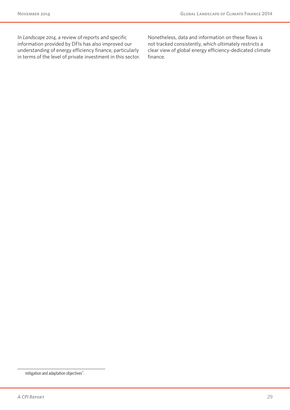In *Landscape 2014,* a review of reports and specific information provided by DFIs has also improved our understanding of energy efficiency finance, particularly in terms of the level of private investment in this sector. Nonetheless, data and information on these flows is not tracked consistently, which ultimately restricts a clear view of global energy efficiency-dedicated climate finance.

mitigation and adaptation objectives".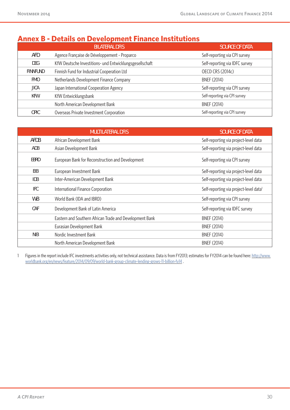# **Annex B - Details on Development Finance Institutions**

|                 | <b>BILATERAL DFIS</b>                                   | <b>SOURCE OF DATA</b>          |
|-----------------|---------------------------------------------------------|--------------------------------|
| AFD             | Agence Française de Développement - Proparco            | Self-reporting via CPI survey  |
| DEG             | KfW Deutsche Investitions- und Entwicklungsgesellschaft | Self-reporting via IDFC survey |
| <b>FINNFUND</b> | Finnish Fund for Industrial Cooperation Ltd             | <b>OECD CRS (2014c)</b>        |
| <b>FMO</b>      | Netherlands Development Finance Company                 | <b>BNEF (2014)</b>             |
| JICA            | Japan International Cooperation Agency                  | Self-reporting via CPI survey  |
| KFW             | KfW Entwicklungsbank                                    | Self-reporting via CPI survey  |
|                 | North American Development Bank                         | <b>BNEF (2014)</b>             |
| OPIC            | Overseas Private Investment Corporation                 | Self-reporting via CPI survey  |

|            | <b>MULTILATERAL DFIS</b>                                | <b>SOURCE OF DATA</b>                              |
|------------|---------------------------------------------------------|----------------------------------------------------|
| AFDB       | African Development Bank                                | Self-reporting via project-level data              |
| ADB        | Asian Development Bank                                  | Self-reporting via project-level data              |
| EBRD       | European Bank for Reconstruction and Development        | Self-reporting via CPI survey                      |
| EIB        | European Investment Bank                                | Self-reporting via project-level data              |
| <b>IDB</b> | Inter-American Development Bank                         | Self-reporting via project-level data              |
| <b>IFC</b> | International Finance Corporation                       | Self-reporting via project-level data <sup>1</sup> |
| WB         | World Bank (IDA and IBRD)                               | Self-reporting via CPI survey                      |
| CAF        | Development Bank of Latin America                       | Self-reporting via IDFC survey                     |
|            | Eastern and Southern African Trade and Development Bank | <b>BNEF (2014)</b>                                 |
|            | Eurasian Development Bank                               | <b>BNEF (2014)</b>                                 |
| <b>NIB</b> | Nordic Investment Bank                                  | <b>BNEF (2014)</b>                                 |
|            | North American Development Bank                         | <b>BNEF (2014)</b>                                 |

1 Figures in the report include IFC investments activities only, not technical assistance. Data is from FY2013; estimates for FY2014 can be found here: http://www. worldbank.org/en/news/feature/2014/09/09/world-bank-group-climate-lending-grows-11-billion-fy14 .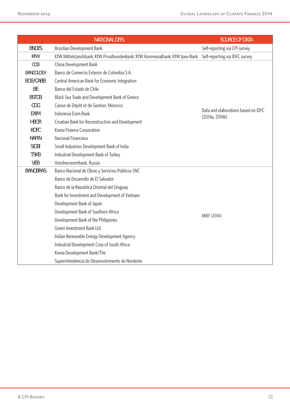|                   | <b>NATIONAL DFIS</b>                                                                                       | <b>SOURCE OF DATA</b>                                 |
|-------------------|------------------------------------------------------------------------------------------------------------|-------------------------------------------------------|
| <b>BNDES</b>      | Brazilian Development Bank                                                                                 | Self-reporting via CPI survey                         |
| <b>KFW</b>        | KfW Mittelstandsbank; KfW Privatkundenbank; KfW Kommunalbank; KfW Ipex-Bank Self-reporting via IDFC survey |                                                       |
| CDB               | China Development Bank                                                                                     |                                                       |
| <b>BANCOLDEX</b>  | Banco de Comercio Exterior de Colombia S.A.                                                                |                                                       |
| <b>BCIE/CABEI</b> | Central American Bank for Economic Integration                                                             |                                                       |
| <b>BE</b>         | Banco del Estado de Chile                                                                                  |                                                       |
| <b>BSTDB</b>      | Black Sea Trade and Development Bank of Greece                                                             |                                                       |
| CDG               | Caisse de Dépôt et de Gestion, Morocco                                                                     |                                                       |
| <b>EXIM</b>       | Indonesia Exim Bank                                                                                        | Data and elaborations based on IDFC<br>(2014a, 2014b) |
| <b>HBOR</b>       | Croatian Bank for Reconstruction and Development                                                           |                                                       |
| <b>KOFC</b>       | Korea Finance Corporation                                                                                  |                                                       |
| <b>NAFIN</b>      | Nacional Financiera                                                                                        |                                                       |
| <b>SIDBI</b>      | Small Industries Development Bank of India                                                                 |                                                       |
| <b>TSKB</b>       | Industrial Development Bank of Turkey                                                                      |                                                       |
| <b>VEB</b>        | Vnesheconombank, Russia                                                                                    |                                                       |
| <b>BANOBRAS</b>   | Banco Nacional de Obras y Servicios Públicos SNC                                                           |                                                       |
|                   | Banco de Desarrollo de El Salvador                                                                         |                                                       |
|                   | Banco de la Republica Oriental del Uruguay                                                                 |                                                       |
|                   | Bank for Investment and Development of Vietnam                                                             |                                                       |
|                   | Development Bank of Japan                                                                                  |                                                       |
|                   | Development Bank of Southern Africa                                                                        |                                                       |
|                   | Development Bank of the Philippines                                                                        | <b>BNEF (2014)</b>                                    |
|                   | Green Investment Bank Ltd                                                                                  |                                                       |
|                   | Indian Renewable Energy Development Agency                                                                 |                                                       |
|                   | Industrial Development Corp of South Africa                                                                |                                                       |
|                   | Korea Development Bank/The                                                                                 |                                                       |
|                   | Superintendencia do Desenvolvimento do Nordeste                                                            |                                                       |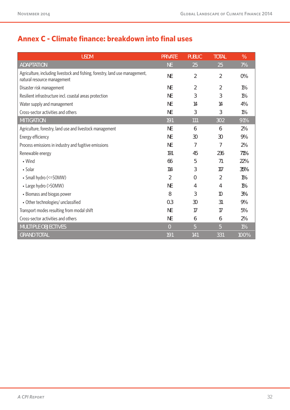# **Annex C - Climate finance: breakdown into final uses**

| <b>USDM</b>                                                                                                 | <b>PRIVATE</b> | <b>PUBLIC</b>  | <b>TOTAL</b> | %     |
|-------------------------------------------------------------------------------------------------------------|----------------|----------------|--------------|-------|
| <b>ADAPTATION</b>                                                                                           | <b>NE</b>      | 25             | 25           | 7%    |
| Agriculture, including livestock and fishing, forestry, land use management,<br>natural resource management | <b>NE</b>      | $\overline{2}$ | 2            | 0%    |
| Disaster risk management                                                                                    | <b>NE</b>      | $\overline{2}$ | 2            | $1\%$ |
| Resilient infrastructure incl. coastal areas protection                                                     | <b>NE</b>      | 3              | 3            | $1\%$ |
| Water supply and management                                                                                 | <b>NE</b>      | 14             | 14           | 4%    |
| Cross-sector activities and others                                                                          | <b>NE</b>      | 3              | 3            | $1\%$ |
| <b>MITIGATION</b>                                                                                           | 191            | 111            | 302          | 91%   |
| Agriculture, forestry, land use and livestock management                                                    | <b>NE</b>      | 6              | 6            | 2%    |
| Energy efficiency                                                                                           | <b>NE</b>      | 30             | 30           | 9%    |
| Process emissions in industry and fugitive emissions                                                        | <b>NE</b>      | 7              | 7            | 2%    |
| Renewable energy                                                                                            | 191            | 45             | 236          | 71%   |
| • Wind                                                                                                      | 66             | 5              | 71           | 22%   |
| • Solar                                                                                                     | 114            | 3              | 117          | 35%   |
| • Small hydro (<=50MW)                                                                                      | 2              | $\overline{0}$ | 2            | 1%    |
| • Large hydro (>50MW)                                                                                       | NE             | 4              | 4            | 1%    |
| • Biomass and biogas power                                                                                  | 8              | 3              | 10           | 3%    |
| • Other technologies/ unclassified                                                                          | 0.3            | 30             | 31           | 9%    |
| Transport modes resulting from modal shift                                                                  | <b>NE</b>      | 17             | 17           | 5%    |
| Cross-sector activities and others                                                                          | <b>NE</b>      | 6              | 6            | 2%    |
| <b>MULTIPLE OBJECTIVES</b>                                                                                  | $\overline{0}$ | 5              | 5            | 1%    |
| <b>GRAND TOTAL</b>                                                                                          | 191            | 141            | 331          | 100%  |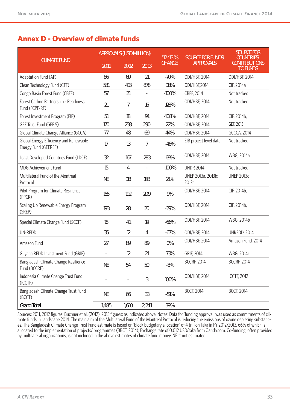# **Annex D - Overview of climate funds**

|                                                                | <b>APPROVALS (USD MILLION)</b> |       |       | $12 - 13%$    | <b>SOURCE FOR FUNDS'</b>    | <b>SOURCE FOR</b><br><b>COUNTRIES'</b>  |  |
|----------------------------------------------------------------|--------------------------------|-------|-------|---------------|-----------------------------|-----------------------------------------|--|
| <b>CLIMATE FUND</b>                                            | 2011                           | 2012  | 2013  | <b>CHANGE</b> | <b>APPROVALS</b>            | <b>CONTRIBUTIONS</b><br><b>TO FUNDS</b> |  |
| Adaptation Fund (AF)                                           | 86                             | 69    | 21    | $-70%$        | ODI/HBF, 2014               | ODI/HBF, 2014                           |  |
| Clean Technology Fund (CTF)                                    | 531                            | 413   | 878   | 113%          | ODI/HBF,2014                | CIF, 2014a                              |  |
| Congo Basin Forest Fund (CBFF)                                 | 57                             | 21    |       | $-100%$       | CBFF, 2014                  | Not tracked                             |  |
| Forest Carbon Partnership - Readiness<br>Fund (FCPF-RF)        | 21                             | 7     | 16    | 128%          | ODI/HBF, 2014               | Not tracked                             |  |
| Forest Investment Program (FIP)                                | 51                             | 18    | 91    | 408%          | ODI/HBF, 2014               | CIF, 2014b,                             |  |
| GEF Trust Fund (GEF 5)                                         | 170                            | 238   | 290   | 22%           | ODI/HBF, 2014               | GEF, 2013                               |  |
| Global Climate Change Alliance (GCCA)                          | 77                             | 48    | 69    | 44%           | ODI/HBF, 2014               | <b>GCCCA, 2014</b>                      |  |
| Global Energy Efficiency and Renewable<br>Energy Fund (GEEREF) | 17                             | 13    | 7     | $-46%$        | EIB project level data      | Not tracked                             |  |
| Least Developed Countries Fund (LDCF)                          | 32                             | 167   | 283   | 69%           | ODI/HBF, 2014               | WBG, 2014a,                             |  |
| MDG Achievement Fund                                           | 15                             | 4     | ÷,    | $-100%$       | <b>UNDP, 2014</b>           | Not tracked                             |  |
| Multilateral Fund of the Montreal<br>Protocol                  | NE                             | 118   | 143   | 21%           | UNEP 2013a, 2013b;<br>2013c | <b>UNEP 2013d</b>                       |  |
| Pilot Program for Climate Resilience<br>(PPCR)                 | 155                            | 192   | 209   | 9%            | ODI/HBF, 2014               | CIF, 2014b,                             |  |
| Scaling Up Renewable Energy Program<br>(SREP)                  | 193                            | 28    | 20    | $-29%$        | ODI/HBF, 2014               | CIF, 2014b,                             |  |
| Special Climate Change Fund (SCCF)                             | 18                             | 41    | 14    | $-66%$        | ODI/HBF, 2014               | WBG, 2014b                              |  |
| UN-REDD                                                        | 35                             | 12    | 4     | $-67%$        | ODI/HBF, 2014               | <b>UNREDD, 2014</b>                     |  |
| Amazon Fund                                                    | 27                             | 89    | 89    | 0%            | ODI/HBF, 2014               | Amazon Fund, 2014                       |  |
| Guyana REDD Investment Fund (GRIF)                             | ÷,                             | 12    | 21    | 73%           | <b>GRIF, 2014</b>           | WBG. 2014c                              |  |
| Bangladesh Climate Change Resilience<br>Fund (BCCRF)           | NE                             | 54    | 50    | $-8%$         | <b>BCCRF, 2014</b>          | <b>BCCRF, 2014</b>                      |  |
| Indonesia Climate Change Trust Fund<br>(ICCTF)                 |                                |       | 3     | 100%          | ODI/HBF, 2014               | <b>ICCTF, 2012</b>                      |  |
| Bangladesh Climate Change Trust Fund<br>(BCCT)                 | NE                             | 66    | 33    | $-51%$        | <b>BCCT, 2014</b>           | <b>BCCT, 2014</b>                       |  |
| <b>Grand Total</b>                                             | 1,485                          | 1,610 | 2,241 | 39%           |                             |                                         |  |

Sources: 2011, 2012 figures: Buchner et al. (2012). 2013 figures: as indicated above. Notes: Data for 'funding approval' was used as commitments of climate funds in Landscape 2014. The main aim of the Multilateral Fund of the Montreal Protocol is reducing the emissions of ozone depleting substances. The Bangladesh Climate Change Trust Fund estimate is based on 'block budgetary allocation' of 4 trillion Taka in FY 2012/2013, 66% of which is allocated to the implementation of projects/ programmes (BBCT, 2014); Exchange rate of 0.012 USD/taka from Oanda.com. Co-funding, often provided by multilateral organizations, is not included in the above estimates of climate fund money. NE = not estimated.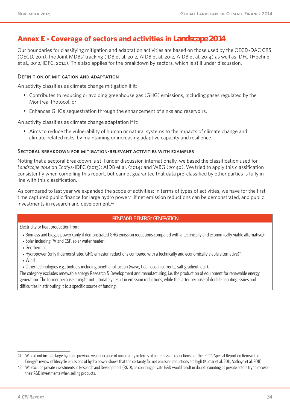# **Annex E - Coverage of sectors and activities in** *Landscape 2014*

Our boundaries for classifying mitigation and adaptation activities are based on those used by the OECD-DAC CRS (OECD, 2011), the Joint MDBs' tracking (IDB et al. 2012, AfDB et al. 2012, AfDB et al. 2014) as well as IDFC (Hoehne et al., 2012, IDFC, 2014). This also applies for the breakdown by sectors, which is still under discussion.

#### Definition of mitigation and adaptation

An activity classifies as climate change mitigation if it:

- Contributes to reducing or avoiding greenhouse gas (GHG) emissions, including gases regulated by the Montreal Protocol; or
- Enhances GHGs sequestration through the enhancement of sinks and reservoirs.

An activity classifies as climate change adaptation if it:

• Aims to reduce the vulnerability of human or natural systems to the impacts of climate change and climate-related risks, by maintaining or increasing adaptive capacity and resilience.

#### Sectoral breakdown for mitigation-relevant activities with examples

Noting that a sectoral breakdown is still under discussion internationally, we based the classification used for *Landscape 2014* on Ecofys-IDFC (2013); AfDB et al. (2014) and WBG (2014d). We tried to apply this classification consistently when compiling this report, but cannot guarantee that data pre-classified by other parties is fully in line with this classification.

As compared to last year we expanded the scope of activities: In terms of types of activities, we have for the first time captured public finance for large hydro power,<sup>41</sup> if net emission reductions can be demonstrated, and public investments in research and development.42

#### **RENEWABLE ENERGY GENERATION**

Electricity or heat production from:

- Biomass and biogas power (only if demonstrated GHG emission reductions compared with a technically and economically viable alternative);
- Solar including PV and CSP, solar water heater;
- Geothermal;
- Hydropower (only if demonstrated GHG emission reductions compared with a technically and economically viable alternative)\*
- Wind;
- Other technologies e.g., biofuels including bioethanol, ocean (wave, tidal, ocean currents, salt gradient, etc.).

The category excludes renewable energy Research & Development and manufacturing, i.e. the production of equipment for renewable energy generation. The former because it might not ultimately result in emission reductions, while the latter because of double counting issues and difficulties in attributing it to a specific source of funding.

<sup>41</sup> We did not include large hydro in previous years because of uncertainty in terms of net emission reductions but the IPCC's Special Report on Renewable Energy's review of lifecycle emissions of hydro power shows that the certainty for net emission reductions are high (Kumar et al. 2011, Sathaye et al. 2011)

<sup>42</sup> We exclude private investments in Research and Development (R&D), as counting private R&D would result in double counting as private actors try to recover their R&D investments when selling products.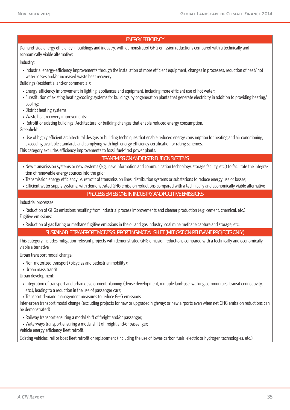#### **ENERGY EFFICIENCY**

Demand-side energy efficiency in buildings and industry, with demonstrated GHG emission reductions compared with a technically and economically viable alternative:

Industry:

• Industrial energy-efficiency improvements through the installation of more efficient equipment, changes in processes, reduction of heat/ hot water losses and/or increased waste heat recovery.

Buildings (residential and/or commercial):

- Energy-efficiency improvement in lighting, appliances and equipment, including more efficient use of hot water;
- Substitution of existing heating/cooling systems for buildings by cogeneration plants that generate electricity in addition to providing heating/ cooling;

• District heating systems;

- Waste heat recovery improvements;
- Retrofit of existing buildings: Architectural or building changes that enable reduced energy consumption. Greenfield:
- Use of highly efficient architectural designs or building techniques that enable reduced energy consumption for heating and air conditioning, exceeding available standards and complying with high energy efficiency certification or rating schemes.

This category excludes efficiency improvements to fossil fuel-fired power plants.

#### **TRANSMISSION AND DISTRIBUTION SYSTEMS**

- New transmission systems or new systems (e.g., new information and communication technology, storage facility, etc.) to facilitate the integration of renewable energy sources into the grid;
- Transmission energy efficiency i.e. retrofit of transmission lines, distribution systems or substations to reduce energy use or losses;
- Efficient water supply systems; with demonstrated GHG emission reductions compared with a technically and economically viable alternative

#### **PROCESS EMISSIONS IN INDUSTRY AND FUGITIVE EMISSIONS**

Industrial processes

• Reduction of GHGs emissions resulting from industrial process improvements and cleaner production (e.g. cement, chemical, etc.). Fugitive emissions:

• Reduction of gas flaring or methane fugitive emissions in the oil and gas industry; coal mine methane capture and storage; etc.

**SUSTAINABLE TRANSPORT MODES SUPPORTING MODAL SHIFT (MITIGATION-RELEVANT PROJECTS ONLY)** 

This category includes mitigation-relevant projects with demonstrated GHG emission reductions compared with a technically and economically viable alternative

Urban transport modal change:

- Non-motorized transport (bicycles and pedestrian mobility);
- Urban mass transit.

Urban development:

- Integration of transport and urban development planning (dense development, multiple land-use, walking communities, transit connectivity, etc.), leading to a reduction in the use of passenger cars;
- Transport demand management measures to reduce GHG emissions.

Inter-urban transport modal change (excluding projects for new or upgraded highway; or new airports even when net GHG emission reductions can be demonstrated)

• Railway transport ensuring a modal shift of freight and/or passenger;

• Waterways transport ensuring a modal shift of freight and/or passenger;

Vehicle energy efficiency fleet retrofit.

Existing vehicles, rail or boat fleet retrofit or replacement (including the use of lower-carbon fuels, electric or hydrogen technologies, etc.)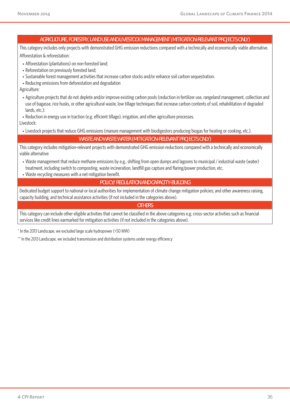#### **AGRICULTURE, FORESTRY, LAND USE AND LIVESTOCK MANAGEMENT (MITIGATION-RELEVANT PROJECTS ONLY)**

This category includes only projects with demonstrated GHG emission reductions compared with a technically and economically viable alternative. Afforestation & reforestation:

- Afforestation (plantations) on non-forested land;
- Reforestation on previously forested land;
- Sustainable forest management activities that increase carbon stocks and/or enhance soil carbon sequestration.
- Reducing emissions from deforestation and degradation

Agriculture:

- Agriculture projects that do not deplete and/or improve existing carbon pools (reduction in fertilizer use, rangeland management, collection and use of bagasse, rice husks, or other agricultural waste, low tillage techniques that increase carbon contents of soil, rehabilitation of degraded lands, etc.);
- Reduction in energy use in traction (e.g. efficient tillage), irrigation, and other agriculture processes.

Livestock:

• Livestock projects that reduce GHG emissions (manure management with biodigestors producing biogas for heating or cooking, etc.).

**WASTE AND WASTE WATER (MITIGATION-RELEVANT PROJECTS ONLY)** 

This category includes mitigation-relevant projects with demonstrated GHG emission reductions compared with a technically and economically viable alternative

- Waste management that reduce methane emissions by e.g., shifting from open dumps and lagoons to municipal / industrial waste (water) treatment, including switch to composting, waste incineration, landfill gas capture and flaring/power production, etc.
- Waste recycling measures with a net mitigation benefit.

#### **POLICY/ REGULATION AND CAPACITY-BUILDING**

Dedicated budget support to national or local authorities for implementation of climate change mitigation policies; and other awareness raising, capacity building, and technical assistance activities (if not included in the categories above).

#### **OTHERS**

This category can include other eligible activities that cannot be classified in the above categories e.g. cross-sector activities such as financial services like credit lines earmarked for mitigation activities (if not included in the categories above).

\* In the 2013 Landscape, we excluded large scale hydropower (>50 MW)

\*\* In the 2013 Landscape, we included transmission and distribution systems under energy efficiency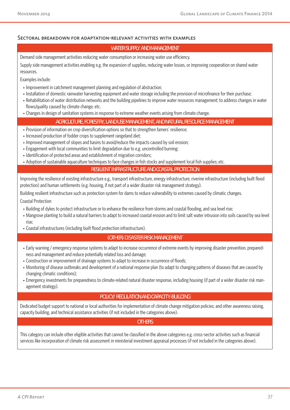#### Sectoral breakdown for adaptation-relevant activities with examples

#### **WATER SUPPLY AND MANAGEMENT**

Demand side management activities reducing water consumption or increasing water use efficiency.

Supply side management activities enabling e.g. the expansion of supplies, reducing water losses, or improving cooperation on shared water resources.

Examples include:

- Improvement in catchment management planning and regulation of abstraction;
- Installation of domestic rainwater harvesting equipment and water storage including the provision of microfinance for their purchase;
- Rehabilitation of water distribution networks and the building pipelines to improve water resources management; to address changes in water flows/quality caused by climate change, etc.
- Changes in design of sanitation systems in response to extreme weather events arising from climate change.

#### **AGRICULTURE, FORESTRY, LAND USE MANAGEMENT, AND NATURAL RESOURCE MANAGEMENT**

- Provision of information on crop diversification options so that to strengthen famers' resilience;
- Increased production of fodder crops to supplement rangeland diet;
- Improved management of slopes and basins to avoid/reduce the impacts caused by soil erosion;
- Engagement with local communities to limit degradation due to e.g. uncontrolled burning;
- Identification of protected areas and establishment of migration corridors;
- Adoption of sustainable aquaculture techniques to face changes in fish stocks and supplement local fish supplies; etc.

#### **RESILIENT INFRASTRUCTURE AND COASTAL PROTECTION**

Improving the resilience of existing infrastructure e.g., transport infrastructure, energy infrastructure, riverine infrastructure (including built flood protection) and human settlements (e.g. housing, if not part of a wider disaster risk management strategy).

Building resilient infrastructure such as protection system for dams to reduce vulnerability to extremes caused by climatic changes.

Coastal Protection

- Building of dykes to protect infrastructure or to enhance the resilience from storms and coastal flooding, and sea level rise;
- Mangrove planting to build a natural barriers to adapt to increased coastal erosion and to limit salt water intrusion into soils caused by sea level rise;
- Coastal infrastructures (including built flood protection infrastructure).

#### **(OTHER) DISASTER RISK MANAGEMENT**

- Early warning / emergency response systems to adapt to increase occurrence of extreme events by improving disaster prevention, preparedness and management and reduce potentially related loss and damage;
- Construction or improvement of drainage systems to adapt to increase in occurrence of floods;
- Monitoring of disease outbreaks and development of a national response plan (to adapt to changing patterns of diseases that are caused by changing climatic conditions);
- Emergency investments for preparedness to climate-related natural disaster response, including housing (if part of a wider disaster risk management strategy).

#### **POLICY/ REGULATION AND CAPACITY-BUILDING**

Dedicated budget support to national or local authorities for implementation of climate change mitigation policies; and other awareness raising, capacity building, and technical assistance activities (if not included in the categories above).

#### **OTHERS**

This category can include other eligible activities that cannot be classified in the above categories e.g. cross-sector activities such as financial services like incorporation of climate risk assessment in ministerial investment appraisal processes (if not included in the categories above).